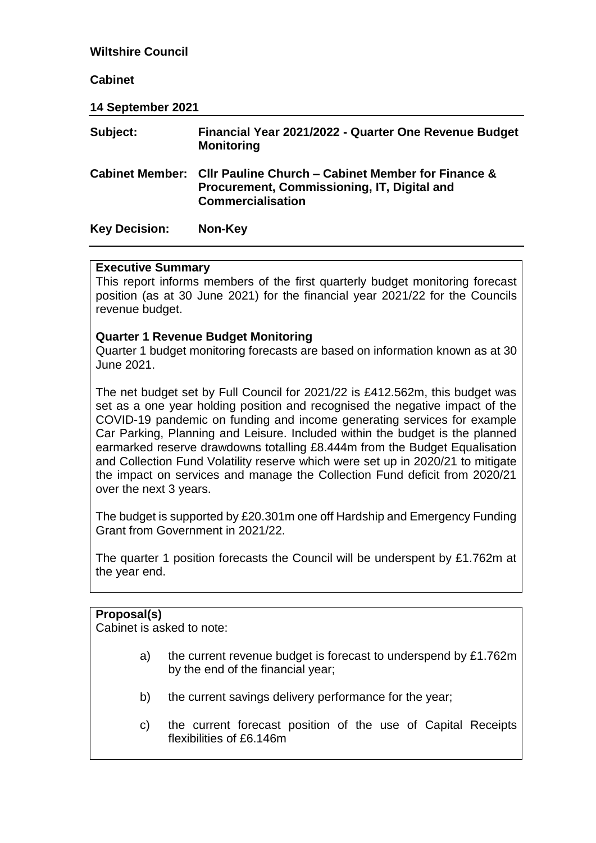## **Wiltshire Council**

### **Cabinet**

**14 September 2021**

| Subject:             | Financial Year 2021/2022 - Quarter One Revenue Budget<br><b>Monitoring</b>                                                                    |
|----------------------|-----------------------------------------------------------------------------------------------------------------------------------------------|
|                      | Cabinet Member: Cllr Pauline Church – Cabinet Member for Finance &<br>Procurement, Commissioning, IT, Digital and<br><b>Commercialisation</b> |
| <b>Key Decision:</b> | Non-Key                                                                                                                                       |

#### **Executive Summary**

This report informs members of the first quarterly budget monitoring forecast position (as at 30 June 2021) for the financial year 2021/22 for the Councils revenue budget.

## **Quarter 1 Revenue Budget Monitoring**

Quarter 1 budget monitoring forecasts are based on information known as at 30 June 2021.

The net budget set by Full Council for 2021/22 is £412.562m, this budget was set as a one year holding position and recognised the negative impact of the COVID-19 pandemic on funding and income generating services for example Car Parking, Planning and Leisure. Included within the budget is the planned earmarked reserve drawdowns totalling £8.444m from the Budget Equalisation and Collection Fund Volatility reserve which were set up in 2020/21 to mitigate the impact on services and manage the Collection Fund deficit from 2020/21 over the next 3 years.

The budget is supported by £20.301m one off Hardship and Emergency Funding Grant from Government in 2021/22.

The quarter 1 position forecasts the Council will be underspent by £1.762m at the year end.

## **Proposal(s)**

Cabinet is asked to note:

- a) the current revenue budget is forecast to underspend by £1.762m by the end of the financial year;
- b) the current savings delivery performance for the year:
- c) the current forecast position of the use of Capital Receipts flexibilities of £6.146m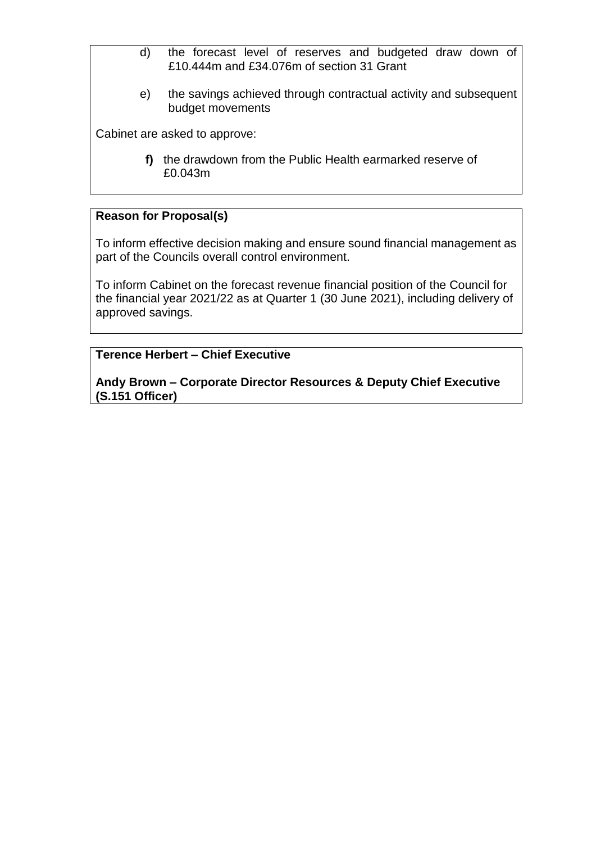- d) the forecast level of reserves and budgeted draw down of £10.444m and £34.076m of section 31 Grant
- e) the savings achieved through contractual activity and subsequent budget movements

Cabinet are asked to approve:

**f)** the drawdown from the Public Health earmarked reserve of £0.043m

## **Reason for Proposal(s)**

To inform effective decision making and ensure sound financial management as part of the Councils overall control environment.

To inform Cabinet on the forecast revenue financial position of the Council for the financial year 2021/22 as at Quarter 1 (30 June 2021), including delivery of approved savings.

## **Terence Herbert – Chief Executive**

**Andy Brown – Corporate Director Resources & Deputy Chief Executive (S.151 Officer)**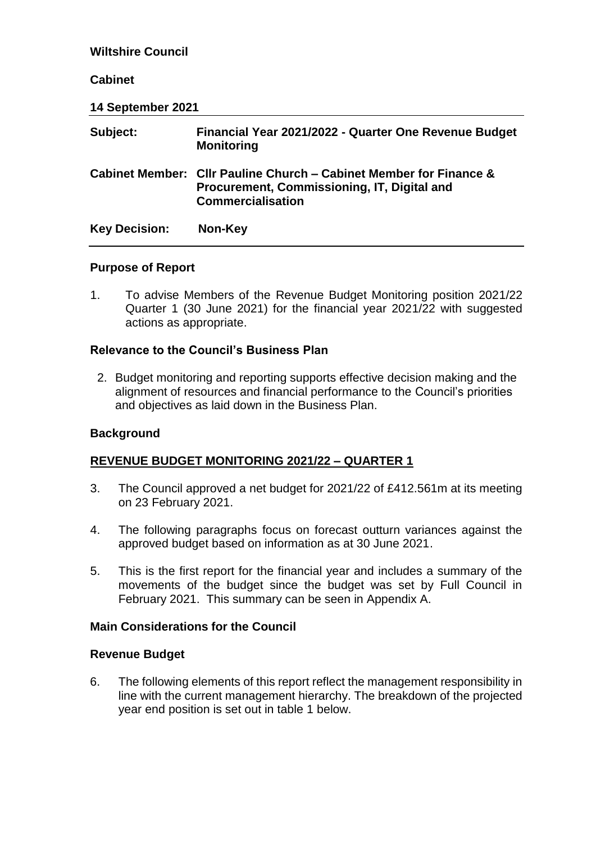| <b>Wiltshire Council</b> |                                                                                                                                               |
|--------------------------|-----------------------------------------------------------------------------------------------------------------------------------------------|
| <b>Cabinet</b>           |                                                                                                                                               |
| 14 September 2021        |                                                                                                                                               |
| Subject:                 | Financial Year 2021/2022 - Quarter One Revenue Budget<br><b>Monitoring</b>                                                                    |
|                          | Cabinet Member: Cllr Pauline Church – Cabinet Member for Finance &<br>Procurement, Commissioning, IT, Digital and<br><b>Commercialisation</b> |
| <b>Key Decision:</b>     | Non-Key                                                                                                                                       |

## **Purpose of Report**

1. To advise Members of the Revenue Budget Monitoring position 2021/22 Quarter 1 (30 June 2021) for the financial year 2021/22 with suggested actions as appropriate.

## **Relevance to the Council's Business Plan**

2. Budget monitoring and reporting supports effective decision making and the alignment of resources and financial performance to the Council's priorities and objectives as laid down in the Business Plan.

## **Background**

## **REVENUE BUDGET MONITORING 2021/22 – QUARTER 1**

- 3. The Council approved a net budget for 2021/22 of £412.561m at its meeting on 23 February 2021.
- 4. The following paragraphs focus on forecast outturn variances against the approved budget based on information as at 30 June 2021.
- 5. This is the first report for the financial year and includes a summary of the movements of the budget since the budget was set by Full Council in February 2021. This summary can be seen in Appendix A.

## **Main Considerations for the Council**

## **Revenue Budget**

6. The following elements of this report reflect the management responsibility in line with the current management hierarchy. The breakdown of the projected year end position is set out in table 1 below.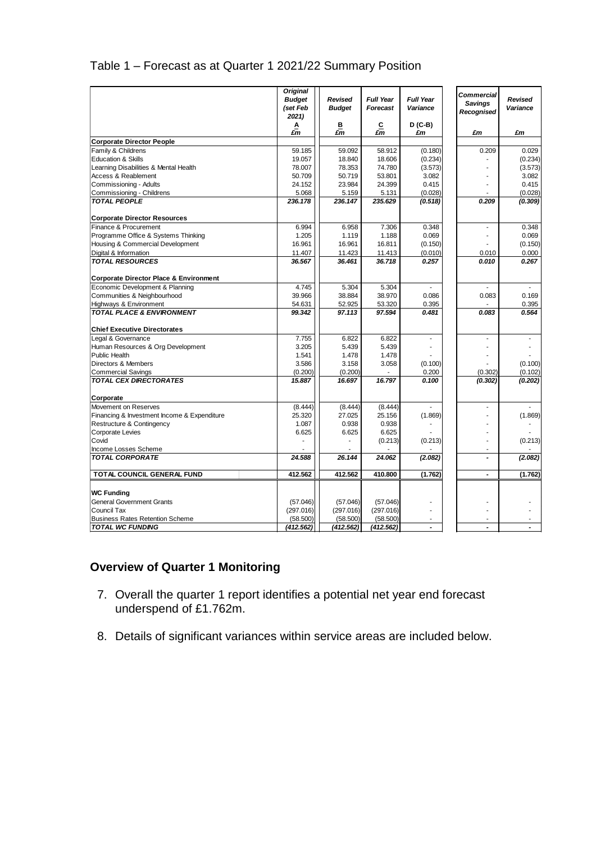## Table 1 – Forecast as at Quarter 1 2021/22 Summary Position

|                                                   | <b>Original</b><br><b>Budget</b><br>(set Feb<br>2021) | <b>Revised</b><br><b>Budget</b> | <b>Full Year</b><br>Forecast     | <b>Full Year</b><br>Variance | Commercial<br><b>Savings</b><br>Recognised | <b>Revised</b><br>Variance |
|---------------------------------------------------|-------------------------------------------------------|---------------------------------|----------------------------------|------------------------------|--------------------------------------------|----------------------------|
|                                                   | $\frac{\Delta}{\mathcal{E}m}$                         | B<br>£m                         | $\frac{\mathsf{C}}{\mathsf{E}m}$ | $D(C-B)$<br>£m               | £m                                         | £m                         |
| <b>Corporate Director People</b>                  |                                                       |                                 |                                  |                              |                                            |                            |
| Family & Childrens                                | 59.185                                                | 59.092                          | 58.912                           | (0.180)                      | 0.209                                      | 0.029                      |
| <b>Education &amp; Skills</b>                     | 19.057                                                | 18.840                          | 18.606                           | (0.234)                      |                                            | (0.234)                    |
| Learning Disabilities & Mental Health             | 78.007                                                | 78.353                          | 74.780                           | (3.573)                      |                                            | (3.573)                    |
| Access & Reablement                               | 50.709                                                | 50.719                          | 53.801                           | 3.082                        |                                            | 3.082                      |
| Commissioning - Adults                            | 24.152                                                | 23.984                          | 24.399                           | 0.415                        |                                            | 0.415                      |
| Commissioning - Childrens                         | 5.068                                                 | 5.159                           | 5.131                            | (0.028)                      |                                            | (0.028)                    |
| <b>TOTAL PEOPLE</b>                               | 236.178                                               | 236.147                         | 235.629                          | (0.518)                      | 0.209                                      | (0.309)                    |
| <b>Corporate Director Resources</b>               |                                                       |                                 |                                  |                              |                                            |                            |
| Finance & Procurement                             | 6.994                                                 | 6.958                           | 7.306                            | 0.348                        | $\overline{\phantom{a}}$                   | 0.348                      |
| Programme Office & Systems Thinking               | 1.205                                                 | 1.119                           | 1.188                            | 0.069                        |                                            | 0.069                      |
| Housing & Commercial Development                  | 16.961                                                | 16.961                          | 16.811                           | (0.150)                      |                                            | (0.150)                    |
| Digital & Information                             | 11.407                                                | 11.423                          | 11.413                           | (0.010)                      | 0.010                                      | 0.000                      |
| <b>TOTAL RESOURCES</b>                            | 36.567                                                | 36.461                          | 36.718                           | 0.257                        | 0.010                                      | 0.267                      |
| <b>Corporate Director Place &amp; Environment</b> |                                                       |                                 |                                  |                              |                                            |                            |
| Economic Development & Planning                   | 4.745                                                 | 5.304                           | 5.304                            |                              |                                            |                            |
| Communities & Neighbourhood                       | 39.966                                                | 38.884                          | 38.970                           | 0.086                        | 0.083                                      | 0.169                      |
| Highways & Environment                            | 54.631                                                | 52.925                          | 53.320                           | 0.395                        |                                            | 0.395                      |
| <b>TOTAL PLACE &amp; ENVIRONMENT</b>              | 99.342                                                | 97.113                          | 97.594                           | 0.481                        | 0.083                                      | 0.564                      |
| <b>Chief Executive Directorates</b>               |                                                       |                                 |                                  |                              |                                            |                            |
| Legal & Governance                                | 7.755                                                 | 6.822                           | 6.822                            | ä,                           |                                            |                            |
| Human Resources & Org Development                 | 3.205                                                 | 5.439                           | 5.439                            |                              |                                            |                            |
| <b>Public Health</b>                              | 1.541                                                 | 1.478                           | 1.478                            |                              |                                            |                            |
| Directors & Members                               | 3.586                                                 | 3.158                           | 3.058                            | (0.100)                      |                                            | (0.100)                    |
| <b>Commercial Savings</b>                         | (0.200)                                               | (0.200)                         |                                  | 0.200                        | (0.302)                                    | (0.102)                    |
| <b>TOTAL CEX DIRECTORATES</b>                     | 15.887                                                | 16.697                          | 16.797                           | 0.100                        | (0.302)                                    | (0.202)                    |
| Corporate                                         |                                                       |                                 |                                  |                              |                                            |                            |
| Movement on Reserves                              | (8.444)                                               | (8.444)                         | (8.444)                          |                              |                                            |                            |
| Financing & Investment Income & Expenditure       | 25.320                                                | 27.025                          | 25.156                           | (1.869)                      |                                            | (1.869)                    |
| Restructure & Contingency                         | 1.087                                                 | 0.938                           | 0.938                            |                              |                                            |                            |
| <b>Corporate Levies</b>                           | 6.625                                                 | 6.625                           | 6.625                            |                              |                                            |                            |
| Covid                                             |                                                       |                                 | (0.213)                          | (0.213)                      |                                            | (0.213)                    |
| Income Losses Scheme<br><b>TOTAL CORPORATE</b>    | 24.588                                                | 26.144                          | 24.062                           | (2.082)                      | $\overline{a}$                             | (2.082)                    |
|                                                   |                                                       |                                 |                                  |                              |                                            |                            |
| TOTAL COUNCIL GENERAL FUND                        | 412.562                                               | 412.562                         | 410.800                          | (1.762)                      |                                            | (1.762)                    |
| <b>WC Funding</b>                                 |                                                       |                                 |                                  |                              |                                            |                            |
| <b>General Government Grants</b>                  | (57.046)                                              | (57.046)                        | (57.046)                         |                              |                                            |                            |
| Council Tax                                       | (297.016)                                             | (297.016)                       | (297.016)                        |                              |                                            |                            |
| <b>Business Rates Retention Scheme</b>            | (58.500)                                              | (58.500)                        | (58.500)                         | ٠                            |                                            |                            |
| <b>TOTAL WC FUNDING</b>                           | (412.562)                                             | (412.562)                       | (412.562)                        |                              |                                            |                            |

## **Overview of Quarter 1 Monitoring**

- 7. Overall the quarter 1 report identifies a potential net year end forecast underspend of £1.762m.
- 8. Details of significant variances within service areas are included below.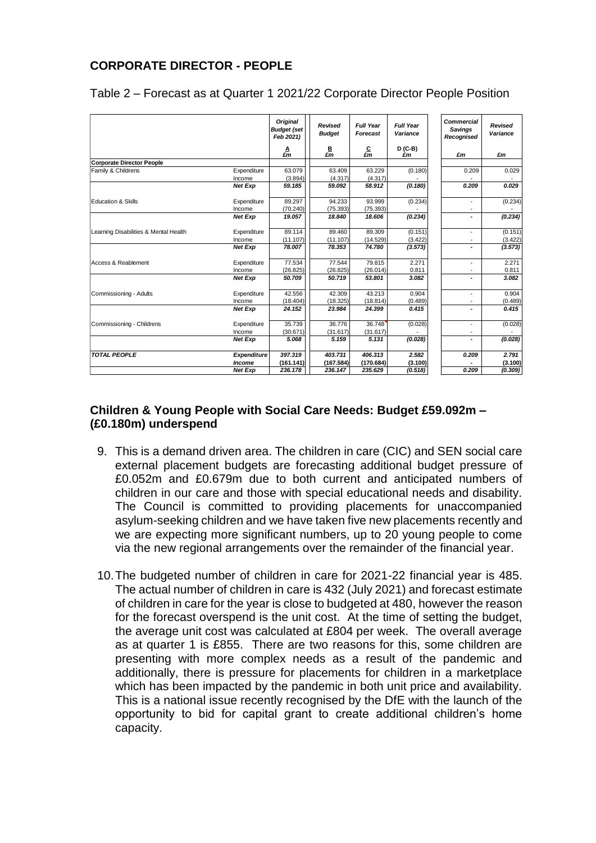## **CORPORATE DIRECTOR - PEOPLE**

|                                       |                | <b>Original</b><br><b>Budget (set</b><br>Feb 2021) | Revised<br><b>Budget</b>                 | <b>Full Year</b><br><b>Forecast</b> | <b>Full Year</b><br>Variance | Commercial<br><b>Savings</b><br>Recognised | Revised<br>Variance |
|---------------------------------------|----------------|----------------------------------------------------|------------------------------------------|-------------------------------------|------------------------------|--------------------------------------------|---------------------|
|                                       |                | $\frac{A}{\pmb{\varepsilon}}$                      | $\frac{\mathsf{B}}{\pmb{\varepsilon m}}$ | $\frac{C}{\pounds m}$               | $D$ (C-B)<br>£m              | £m                                         | £m                  |
| <b>Corporate Director People</b>      |                |                                                    |                                          |                                     |                              |                                            |                     |
| Family & Childrens                    | Expenditure    | 63.079                                             | 63.409                                   | 63.229                              | (0.180)                      | 0.209                                      | 0.029               |
|                                       | Income         | (3.894)                                            | (4.317)                                  | (4.317)                             |                              |                                            |                     |
|                                       | <b>Net Exp</b> | 59.185                                             | 59.092                                   | 58.912                              | (0.180)                      | 0.209                                      | 0.029               |
| <b>Education &amp; Skills</b>         | Expenditure    | 89.297                                             | 94.233                                   | 93.999                              | (0.234)                      |                                            | (0.234)             |
|                                       | Income         | (70.240)                                           | (75.393)                                 | (75.393)                            |                              |                                            |                     |
|                                       | <b>Net Exp</b> | 19.057                                             | 18.840                                   | 18.606                              | (0.234)                      | ٠                                          | (0.234)             |
| Learning Disabilities & Mental Health | Expenditure    | 89.114                                             | 89.460                                   | 89.309                              | (0.151)                      | ۰                                          | (0.151)             |
|                                       | Income         | (11.107)                                           | (11.107)                                 | (14.529)                            | (3.422)                      |                                            | (3.422)             |
|                                       | <b>Net Exp</b> | 78.007                                             | 78.353                                   | 74.780                              | (3.573)                      |                                            | (3.573)             |
| Access & Reablement                   | Expenditure    | 77.534                                             | 77.544                                   | 79.815                              | 2.271                        |                                            | 2.271               |
|                                       | Income         | (26.825)                                           | (26.825)                                 | (26.014)                            | 0.811                        |                                            | 0.811               |
|                                       | <b>Net Exp</b> | 50.709                                             | 50.719                                   | 53.801                              | 3.082                        | ٠                                          | 3.082               |
| Commissioning - Adults                | Expenditure    | 42.556                                             | 42.309                                   | 43.213                              | 0.904                        |                                            | 0.904               |
|                                       | Income         | (18.404)                                           | (18.325)                                 | (18.814)                            | (0.489)                      |                                            | (0.489)             |
|                                       | <b>Net Exp</b> | 24.152                                             | 23.984                                   | 24.399                              | 0.415                        | ٠                                          | 0.415               |
| Commissioning - Childrens             | Expenditure    | 35.739                                             | 36.776                                   | 36.748                              | (0.028)                      | ۰                                          | (0.028)             |
|                                       | Income         | (30.671)                                           | (31.617)                                 | (31.617)                            |                              |                                            |                     |
|                                       | <b>Net Exp</b> | 5.068                                              | 5.159                                    | 5.131                               | (0.028)                      |                                            | (0.028)             |
| <b>TOTAL PEOPLE</b>                   | Expenditure    | 397.319                                            | 403.731                                  | 406.313                             | 2.582                        | 0.209                                      | 2.791               |
|                                       | <b>Income</b>  | (161.141)                                          | (167.584)                                | (170.684)                           | (3.100)                      |                                            | (3.100)             |
|                                       | Net Exp        | 236.178                                            | 236.147                                  | 235.629                             | (0.518)                      | 0.209                                      | (0.309)             |

## Table 2 – Forecast as at Quarter 1 2021/22 Corporate Director People Position

## **Children & Young People with Social Care Needs: Budget £59.092m – (£0.180m) underspend**

- 9. This is a demand driven area. The children in care (CIC) and SEN social care external placement budgets are forecasting additional budget pressure of £0.052m and £0.679m due to both current and anticipated numbers of children in our care and those with special educational needs and disability. The Council is committed to providing placements for unaccompanied asylum-seeking children and we have taken five new placements recently and we are expecting more significant numbers, up to 20 young people to come via the new regional arrangements over the remainder of the financial year.
- 10.The budgeted number of children in care for 2021-22 financial year is 485. The actual number of children in care is 432 (July 2021) and forecast estimate of children in care for the year is close to budgeted at 480, however the reason for the forecast overspend is the unit cost. At the time of setting the budget, the average unit cost was calculated at £804 per week. The overall average as at quarter 1 is £855. There are two reasons for this, some children are presenting with more complex needs as a result of the pandemic and additionally, there is pressure for placements for children in a marketplace which has been impacted by the pandemic in both unit price and availability. This is a national issue recently recognised by the DfE with the launch of the opportunity to bid for capital grant to create additional children's home capacity.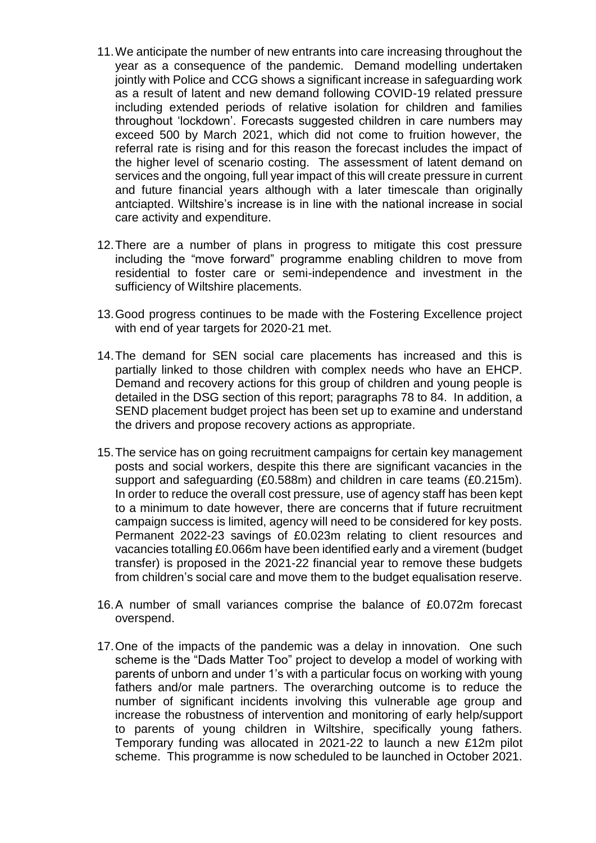- 11.We anticipate the number of new entrants into care increasing throughout the year as a consequence of the pandemic. Demand modelling undertaken jointly with Police and CCG shows a significant increase in safeguarding work as a result of latent and new demand following COVID-19 related pressure including extended periods of relative isolation for children and families throughout 'lockdown'. Forecasts suggested children in care numbers may exceed 500 by March 2021, which did not come to fruition however, the referral rate is rising and for this reason the forecast includes the impact of the higher level of scenario costing. The assessment of latent demand on services and the ongoing, full year impact of this will create pressure in current and future financial years although with a later timescale than originally antciapted. Wiltshire's increase is in line with the national increase in social care activity and expenditure.
- 12.There are a number of plans in progress to mitigate this cost pressure including the "move forward" programme enabling children to move from residential to foster care or semi-independence and investment in the sufficiency of Wiltshire placements.
- 13.Good progress continues to be made with the Fostering Excellence project with end of year targets for 2020-21 met.
- 14.The demand for SEN social care placements has increased and this is partially linked to those children with complex needs who have an EHCP. Demand and recovery actions for this group of children and young people is detailed in the DSG section of this report; paragraphs 78 to 84. In addition, a SEND placement budget project has been set up to examine and understand the drivers and propose recovery actions as appropriate.
- 15.The service has on going recruitment campaigns for certain key management posts and social workers, despite this there are significant vacancies in the support and safeguarding (£0.588m) and children in care teams (£0.215m). In order to reduce the overall cost pressure, use of agency staff has been kept to a minimum to date however, there are concerns that if future recruitment campaign success is limited, agency will need to be considered for key posts. Permanent 2022-23 savings of £0.023m relating to client resources and vacancies totalling £0.066m have been identified early and a virement (budget transfer) is proposed in the 2021-22 financial year to remove these budgets from children's social care and move them to the budget equalisation reserve.
- 16.A number of small variances comprise the balance of £0.072m forecast overspend.
- 17.One of the impacts of the pandemic was a delay in innovation. One such scheme is the "Dads Matter Too" project to develop a model of working with parents of unborn and under 1's with a particular focus on working with young fathers and/or male partners. The overarching outcome is to reduce the number of significant incidents involving this vulnerable age group and increase the robustness of intervention and monitoring of early help/support to parents of young children in Wiltshire, specifically young fathers. Temporary funding was allocated in 2021-22 to launch a new £12m pilot scheme. This programme is now scheduled to be launched in October 2021.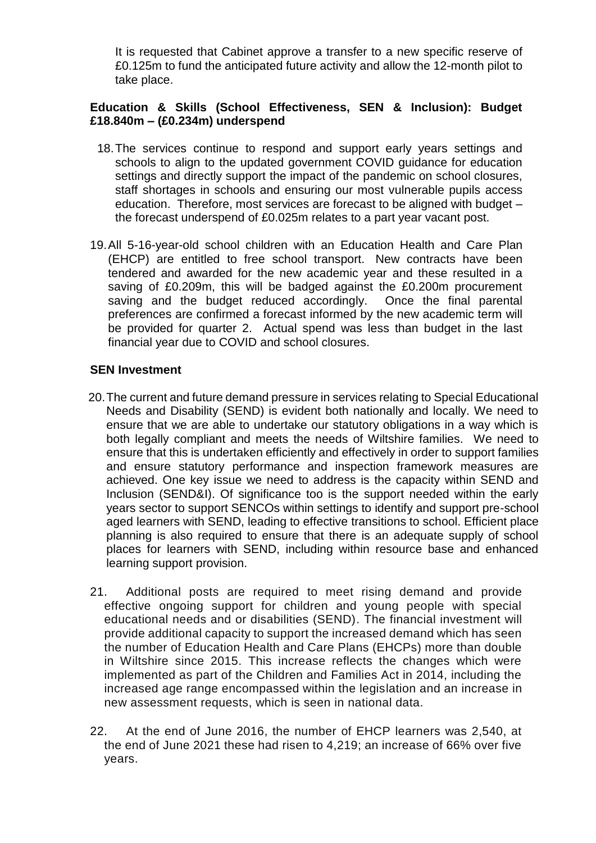It is requested that Cabinet approve a transfer to a new specific reserve of £0.125m to fund the anticipated future activity and allow the 12-month pilot to take place.

## **Education & Skills (School Effectiveness, SEN & Inclusion): Budget £18.840m – (£0.234m) underspend**

- 18.The services continue to respond and support early years settings and schools to align to the updated government COVID guidance for education settings and directly support the impact of the pandemic on school closures, staff shortages in schools and ensuring our most vulnerable pupils access education. Therefore, most services are forecast to be aligned with budget – the forecast underspend of £0.025m relates to a part year vacant post.
- 19.All 5-16-year-old school children with an Education Health and Care Plan (EHCP) are entitled to free school transport. New contracts have been tendered and awarded for the new academic year and these resulted in a saving of £0.209m, this will be badged against the £0.200m procurement saving and the budget reduced accordingly. Once the final parental preferences are confirmed a forecast informed by the new academic term will be provided for quarter 2. Actual spend was less than budget in the last financial year due to COVID and school closures.

## **SEN Investment**

- 20.The current and future demand pressure in services relating to Special Educational Needs and Disability (SEND) is evident both nationally and locally. We need to ensure that we are able to undertake our statutory obligations in a way which is both legally compliant and meets the needs of Wiltshire families. We need to ensure that this is undertaken efficiently and effectively in order to support families and ensure statutory performance and inspection framework measures are achieved. One key issue we need to address is the capacity within SEND and Inclusion (SEND&I). Of significance too is the support needed within the early years sector to support SENCOs within settings to identify and support pre-school aged learners with SEND, leading to effective transitions to school. Efficient place planning is also required to ensure that there is an adequate supply of school places for learners with SEND, including within resource base and enhanced learning support provision.
- 21. Additional posts are required to meet rising demand and provide effective ongoing support for children and young people with special educational needs and or disabilities (SEND). The financial investment will provide additional capacity to support the increased demand which has seen the number of Education Health and Care Plans (EHCPs) more than double in Wiltshire since 2015. This increase reflects the changes which were implemented as part of the Children and Families Act in 2014, including the increased age range encompassed within the legislation and an increase in new assessment requests, which is seen in national data.
- 22. At the end of June 2016, the number of EHCP learners was 2,540, at the end of June 2021 these had risen to 4,219; an increase of 66% over five years.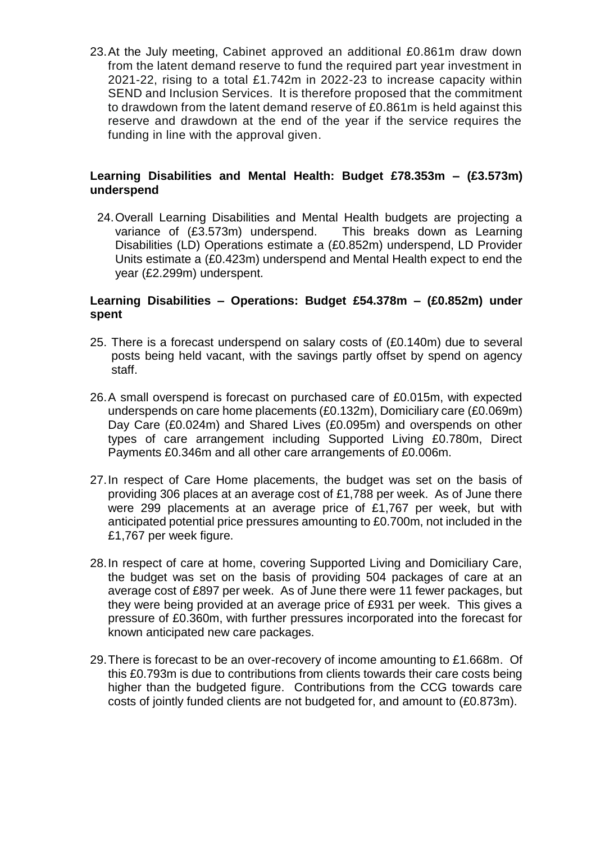23.At the July meeting, Cabinet approved an additional £0.861m draw down from the latent demand reserve to fund the required part year investment in 2021-22, rising to a total £1.742m in 2022-23 to increase capacity within SEND and Inclusion Services. It is therefore proposed that the commitment to drawdown from the latent demand reserve of £0.861m is held against this reserve and drawdown at the end of the year if the service requires the funding in line with the approval given.

## **Learning Disabilities and Mental Health: Budget £78.353m – (£3.573m) underspend**

24.Overall Learning Disabilities and Mental Health budgets are projecting a variance of (£3.573m) underspend. This breaks down as Learning Disabilities (LD) Operations estimate a (£0.852m) underspend, LD Provider Units estimate a (£0.423m) underspend and Mental Health expect to end the year (£2.299m) underspent.

## **Learning Disabilities – Operations: Budget £54.378m – (£0.852m) under spent**

- 25. There is a forecast underspend on salary costs of (£0.140m) due to several posts being held vacant, with the savings partly offset by spend on agency staff.
- 26.A small overspend is forecast on purchased care of £0.015m, with expected underspends on care home placements (£0.132m), Domiciliary care (£0.069m) Day Care (£0.024m) and Shared Lives (£0.095m) and overspends on other types of care arrangement including Supported Living £0.780m, Direct Payments £0.346m and all other care arrangements of £0.006m.
- 27.In respect of Care Home placements, the budget was set on the basis of providing 306 places at an average cost of £1,788 per week. As of June there were 299 placements at an average price of £1,767 per week, but with anticipated potential price pressures amounting to £0.700m, not included in the £1,767 per week figure.
- 28.In respect of care at home, covering Supported Living and Domiciliary Care, the budget was set on the basis of providing 504 packages of care at an average cost of £897 per week. As of June there were 11 fewer packages, but they were being provided at an average price of £931 per week. This gives a pressure of £0.360m, with further pressures incorporated into the forecast for known anticipated new care packages.
- 29.There is forecast to be an over-recovery of income amounting to £1.668m. Of this £0.793m is due to contributions from clients towards their care costs being higher than the budgeted figure. Contributions from the CCG towards care costs of jointly funded clients are not budgeted for, and amount to (£0.873m).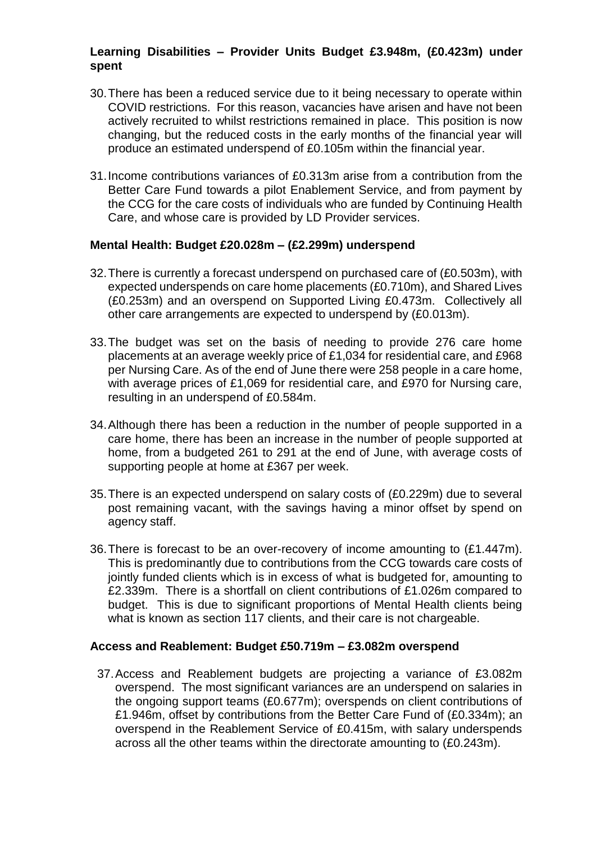## **Learning Disabilities – Provider Units Budget £3.948m, (£0.423m) under spent**

- 30.There has been a reduced service due to it being necessary to operate within COVID restrictions. For this reason, vacancies have arisen and have not been actively recruited to whilst restrictions remained in place. This position is now changing, but the reduced costs in the early months of the financial year will produce an estimated underspend of £0.105m within the financial year.
- 31.Income contributions variances of £0.313m arise from a contribution from the Better Care Fund towards a pilot Enablement Service, and from payment by the CCG for the care costs of individuals who are funded by Continuing Health Care, and whose care is provided by LD Provider services.

#### **Mental Health: Budget £20.028m – (£2.299m) underspend**

- 32.There is currently a forecast underspend on purchased care of (£0.503m), with expected underspends on care home placements (£0.710m), and Shared Lives (£0.253m) and an overspend on Supported Living £0.473m. Collectively all other care arrangements are expected to underspend by (£0.013m).
- 33.The budget was set on the basis of needing to provide 276 care home placements at an average weekly price of £1,034 for residential care, and £968 per Nursing Care. As of the end of June there were 258 people in a care home, with average prices of £1,069 for residential care, and £970 for Nursing care, resulting in an underspend of £0.584m.
- 34.Although there has been a reduction in the number of people supported in a care home, there has been an increase in the number of people supported at home, from a budgeted 261 to 291 at the end of June, with average costs of supporting people at home at £367 per week.
- 35.There is an expected underspend on salary costs of (£0.229m) due to several post remaining vacant, with the savings having a minor offset by spend on agency staff.
- 36.There is forecast to be an over-recovery of income amounting to (£1.447m). This is predominantly due to contributions from the CCG towards care costs of jointly funded clients which is in excess of what is budgeted for, amounting to £2.339m. There is a shortfall on client contributions of £1.026m compared to budget. This is due to significant proportions of Mental Health clients being what is known as section 117 clients, and their care is not chargeable.

#### **Access and Reablement: Budget £50.719m – £3.082m overspend**

37.Access and Reablement budgets are projecting a variance of £3.082m overspend. The most significant variances are an underspend on salaries in the ongoing support teams (£0.677m); overspends on client contributions of £1.946m, offset by contributions from the Better Care Fund of (£0.334m); an overspend in the Reablement Service of £0.415m, with salary underspends across all the other teams within the directorate amounting to (£0.243m).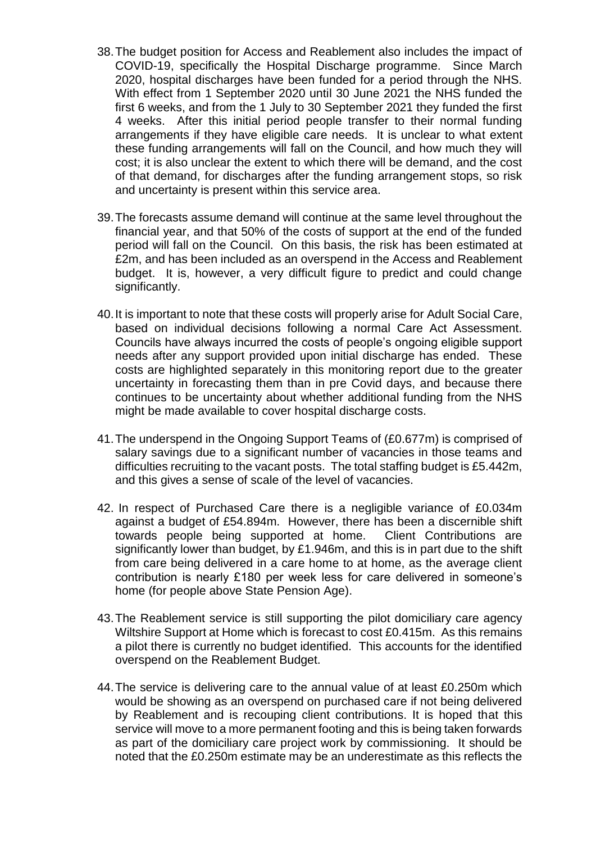- 38.The budget position for Access and Reablement also includes the impact of COVID-19, specifically the Hospital Discharge programme. Since March 2020, hospital discharges have been funded for a period through the NHS. With effect from 1 September 2020 until 30 June 2021 the NHS funded the first 6 weeks, and from the 1 July to 30 September 2021 they funded the first 4 weeks. After this initial period people transfer to their normal funding arrangements if they have eligible care needs. It is unclear to what extent these funding arrangements will fall on the Council, and how much they will cost; it is also unclear the extent to which there will be demand, and the cost of that demand, for discharges after the funding arrangement stops, so risk and uncertainty is present within this service area.
- 39.The forecasts assume demand will continue at the same level throughout the financial year, and that 50% of the costs of support at the end of the funded period will fall on the Council. On this basis, the risk has been estimated at £2m, and has been included as an overspend in the Access and Reablement budget. It is, however, a very difficult figure to predict and could change significantly.
- 40.It is important to note that these costs will properly arise for Adult Social Care, based on individual decisions following a normal Care Act Assessment. Councils have always incurred the costs of people's ongoing eligible support needs after any support provided upon initial discharge has ended. These costs are highlighted separately in this monitoring report due to the greater uncertainty in forecasting them than in pre Covid days, and because there continues to be uncertainty about whether additional funding from the NHS might be made available to cover hospital discharge costs.
- 41.The underspend in the Ongoing Support Teams of (£0.677m) is comprised of salary savings due to a significant number of vacancies in those teams and difficulties recruiting to the vacant posts. The total staffing budget is £5.442m, and this gives a sense of scale of the level of vacancies.
- 42. In respect of Purchased Care there is a negligible variance of £0.034m against a budget of £54.894m. However, there has been a discernible shift towards people being supported at home. Client Contributions are significantly lower than budget, by £1.946m, and this is in part due to the shift from care being delivered in a care home to at home, as the average client contribution is nearly £180 per week less for care delivered in someone's home (for people above State Pension Age).
- 43.The Reablement service is still supporting the pilot domiciliary care agency Wiltshire Support at Home which is forecast to cost £0.415m. As this remains a pilot there is currently no budget identified. This accounts for the identified overspend on the Reablement Budget.
- 44.The service is delivering care to the annual value of at least £0.250m which would be showing as an overspend on purchased care if not being delivered by Reablement and is recouping client contributions. It is hoped that this service will move to a more permanent footing and this is being taken forwards as part of the domiciliary care project work by commissioning. It should be noted that the £0.250m estimate may be an underestimate as this reflects the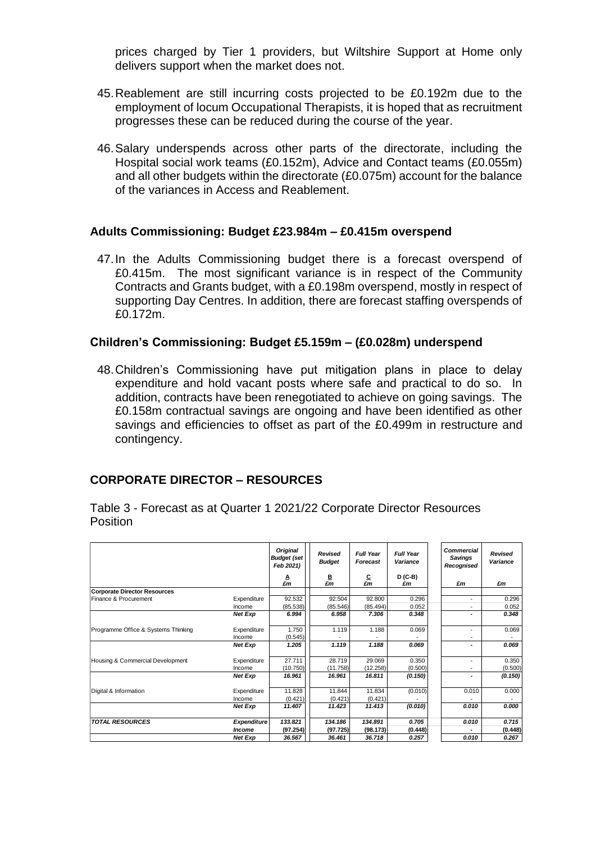prices charged by Tier 1 providers, but Wiltshire Support at Home only delivers support when the market does not.

- 45.Reablement are still incurring costs projected to be £0.192m due to the employment of locum Occupational Therapists, it is hoped that as recruitment progresses these can be reduced during the course of the year.
- 46.Salary underspends across other parts of the directorate, including the Hospital social work teams (£0.152m), Advice and Contact teams (£0.055m) and all other budgets within the directorate (£0.075m) account for the balance of the variances in Access and Reablement.

#### **Adults Commissioning: Budget £23.984m – £0.415m overspend**

47.In the Adults Commissioning budget there is a forecast overspend of £0.415m. The most significant variance is in respect of the Community Contracts and Grants budget, with a £0.198m overspend, mostly in respect of supporting Day Centres. In addition, there are forecast staffing overspends of £0.172m.

#### **Children's Commissioning: Budget £5.159m – (£0.028m) underspend**

48.Children's Commissioning have put mitigation plans in place to delay expenditure and hold vacant posts where safe and practical to do so. In addition, contracts have been renegotiated to achieve on going savings. The £0.158m contractual savings are ongoing and have been identified as other savings and efficiencies to offset as part of the £0.499m in restructure and contingency.

## **CORPORATE DIRECTOR – RESOURCES**

|                                     |                | <b>Original</b><br><b>Budget (set</b><br>Feb 2021) | Revised<br><b>Budget</b>                 | <b>Full Year</b><br>Forecast | <b>Full Year</b><br>Variance | Commercial<br>Savings<br>Recognised | Revised<br>Variance |
|-------------------------------------|----------------|----------------------------------------------------|------------------------------------------|------------------------------|------------------------------|-------------------------------------|---------------------|
|                                     |                | A<br>£m                                            | $\frac{\mathsf{B}}{\pmb{\varepsilon m}}$ | $\frac{C}{\pounds m}$        | $D$ (C-B)<br>£m              | £m                                  | £m                  |
| <b>Corporate Director Resources</b> |                |                                                    |                                          |                              |                              |                                     |                     |
| Finance & Procurement               | Expenditure    | 92.532                                             | 92.504                                   | 92.800                       | 0.296                        |                                     | 0.296               |
|                                     | Income         | (85.538)                                           | (85.546)                                 | (85.494)                     | 0.052                        |                                     | 0.052               |
|                                     | Net Exp        | 6.994                                              | 6.958                                    | 7.306                        | 0.348                        | ٠                                   | 0.348               |
| Programme Office & Systems Thinking | Expenditure    | 1.750                                              | 1.119                                    | 1.188                        | 0.069                        |                                     | 0.069               |
|                                     | Income         | (0.545)                                            |                                          |                              |                              | ٠                                   |                     |
|                                     | <b>Net Exp</b> | 1.205                                              | 1.119                                    | 1.188                        | 0.069                        | ٠                                   | 0.069               |
| Housing & Commercial Development    | Expenditure    | 27.711                                             | 28.719                                   | 29.069                       | 0.350                        |                                     | 0.350               |
|                                     | Income         | (10.750)                                           | (11.758)                                 | (12.258)                     | (0.500)                      | ٠                                   | (0.500)             |
|                                     | <b>Net Exp</b> | 16.961                                             | 16.961                                   | 16.811                       | (0.150)                      | ۰                                   | (0.150)             |
| Digital & Information               | Expenditure    | 11.828                                             | 11.844                                   | 11.834                       | (0.010)                      | 0.010                               | 0.000               |
|                                     | Income         | (0.421)                                            | (0.421)                                  | (0.421)                      |                              |                                     |                     |
|                                     | <b>Net Exp</b> | 11.407                                             | 11.423                                   | 11.413                       | (0.010)                      | 0.010                               | 0.000               |
| <b>TOTAL RESOURCES</b>              | Expenditure    | 133.821                                            | 134.186                                  | 134.891                      | 0.705                        | 0.010                               | 0.715               |
|                                     | <b>Income</b>  | (97.254)                                           | (97.725)                                 | (98.173)                     | (0.448)                      |                                     | (0.448)             |
|                                     | <b>Net Exp</b> | 36.567                                             | 36.461                                   | 36.718                       | 0.257                        | 0.010                               | 0.267               |

Table 3 - Forecast as at Quarter 1 2021/22 Corporate Director Resources Position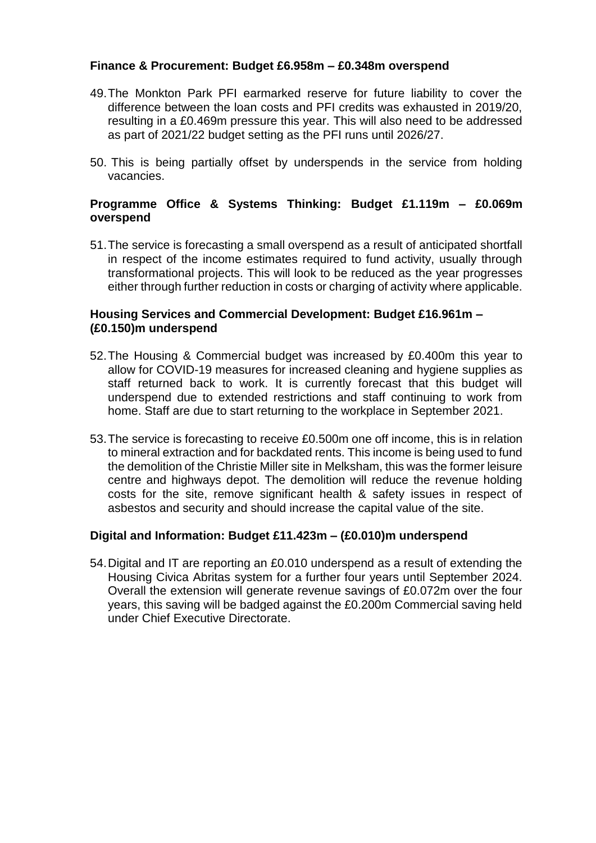## **Finance & Procurement: Budget £6.958m – £0.348m overspend**

- 49.The Monkton Park PFI earmarked reserve for future liability to cover the difference between the loan costs and PFI credits was exhausted in 2019/20, resulting in a £0.469m pressure this year. This will also need to be addressed as part of 2021/22 budget setting as the PFI runs until 2026/27.
- 50. This is being partially offset by underspends in the service from holding vacancies.

## **Programme Office & Systems Thinking: Budget £1.119m – £0.069m overspend**

51.The service is forecasting a small overspend as a result of anticipated shortfall in respect of the income estimates required to fund activity, usually through transformational projects. This will look to be reduced as the year progresses either through further reduction in costs or charging of activity where applicable.

## **Housing Services and Commercial Development: Budget £16.961m – (£0.150)m underspend**

- 52.The Housing & Commercial budget was increased by £0.400m this year to allow for COVID-19 measures for increased cleaning and hygiene supplies as staff returned back to work. It is currently forecast that this budget will underspend due to extended restrictions and staff continuing to work from home. Staff are due to start returning to the workplace in September 2021.
- 53.The service is forecasting to receive £0.500m one off income, this is in relation to mineral extraction and for backdated rents. This income is being used to fund the demolition of the Christie Miller site in Melksham, this was the former leisure centre and highways depot. The demolition will reduce the revenue holding costs for the site, remove significant health & safety issues in respect of asbestos and security and should increase the capital value of the site.

## **Digital and Information: Budget £11.423m – (£0.010)m underspend**

54.Digital and IT are reporting an £0.010 underspend as a result of extending the Housing Civica Abritas system for a further four years until September 2024. Overall the extension will generate revenue savings of £0.072m over the four years, this saving will be badged against the £0.200m Commercial saving held under Chief Executive Directorate.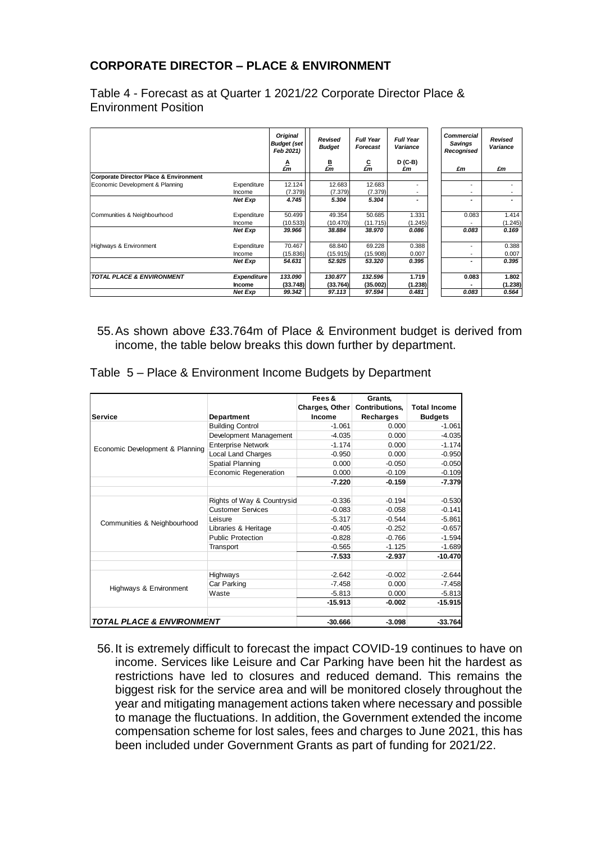## **CORPORATE DIRECTOR – PLACE & ENVIRONMENT**

Table 4 - Forecast as at Quarter 1 2021/22 Corporate Director Place & Environment Position

|                                        |                    | Original<br><b>Budget (set</b><br>Feb 2021) | Revised<br><b>Budget</b>                 | <b>Full Year</b><br>Forecast | <b>Full Year</b><br>Variance | <b>Commercial</b><br>Savings<br>Recognised | Revised<br>Variance |
|----------------------------------------|--------------------|---------------------------------------------|------------------------------------------|------------------------------|------------------------------|--------------------------------------------|---------------------|
|                                        |                    | A<br>£m                                     | $\frac{\mathsf{B}}{\pmb{\varepsilon m}}$ | $\frac{C}{\pounds m}$        | $D(C-B)$<br>£m               | £m                                         | £m                  |
| Corporate Director Place & Environment |                    |                                             |                                          |                              |                              |                                            |                     |
| Economic Development & Planning        | Expenditure        | 12.124                                      | 12.683                                   | 12.683                       |                              |                                            |                     |
|                                        | Income             | (7.379)                                     | (7.379)                                  | (7.379)                      |                              | ۰                                          |                     |
|                                        | Net Exp            | 4.745                                       | 5.304                                    | 5.304                        |                              | ۰                                          |                     |
| Communities & Neighbourhood            | Expenditure        | 50.499                                      | 49.354                                   | 50.685                       | 1.331                        | 0.083                                      | 1.414               |
|                                        | Income             | (10.533)                                    | (10.470)                                 | (11.715)                     | (1.245)                      |                                            | (1.245)             |
|                                        | Net Exp            | 39.966                                      | 38.884                                   | 38.970                       | 0.086                        | 0.083                                      | 0.169               |
| Highways & Environment                 | Expenditure        | 70.467                                      | 68.840                                   | 69.228                       | 0.388                        |                                            | 0.388               |
|                                        | Income             | (15.836)                                    | (15.915)                                 | (15.908)                     | 0.007                        |                                            | 0.007               |
|                                        | Net Exp            | 54.631                                      | 52.925                                   | 53.320                       | 0.395                        | ۰                                          | 0.395               |
| <b>TOTAL PLACE &amp; ENVIRONMENT</b>   | <b>Expenditure</b> | 133.090                                     | 130.877                                  | 132.596                      | 1.719                        | 0.083                                      | 1.802               |
|                                        | <b>Income</b>      | (33.748)                                    | (33.764)                                 | (35.002)                     | (1.238)                      |                                            | (1.238)             |
|                                        | Net Exp            | 99.342                                      | 97.113                                   | 97.594                       | 0.481                        | 0.083                                      | 0.564               |

55.As shown above £33.764m of Place & Environment budget is derived from income, the table below breaks this down further by department.

Table 5 – Place & Environment Income Budgets by Department

|                                      |                            | Fees &<br>Charges, Other | Grants.<br><b>Contributions,</b> | <b>Total Income</b> |  |
|--------------------------------------|----------------------------|--------------------------|----------------------------------|---------------------|--|
| Service                              | Department                 | Income                   | Recharges                        | <b>Budgets</b>      |  |
|                                      | <b>Building Control</b>    | $-1.061$                 | 0.000                            | $-1.061$            |  |
|                                      | Development Management     | $-4.035$                 | 0.000                            | $-4.035$            |  |
|                                      | <b>Enterprise Network</b>  | $-1.174$                 | 0.000                            | $-1.174$            |  |
| Economic Development & Planning      | <b>Local Land Charges</b>  | $-0.950$                 | 0.000                            | $-0.950$            |  |
|                                      | Spatial Planning           | 0.000                    | $-0.050$                         | $-0.050$            |  |
|                                      | Economic Regeneration      | 0.000                    | $-0.109$                         | $-0.109$            |  |
|                                      |                            | $-7.220$                 | $-0.159$                         | $-7.379$            |  |
|                                      |                            |                          |                                  |                     |  |
|                                      | Rights of Way & Countrysid | $-0.336$                 | $-0.194$                         | $-0.530$            |  |
|                                      | <b>Customer Services</b>   | $-0.083$                 | $-0.058$                         | $-0.141$            |  |
|                                      | Leisure                    | $-5.317$                 | $-0.544$                         | $-5.861$            |  |
| Communities & Neighbourhood          | Libraries & Heritage       | $-0.405$                 | $-0.252$                         | $-0.657$            |  |
|                                      | <b>Public Protection</b>   | $-0.828$                 | $-0.766$                         | $-1.594$            |  |
|                                      | Transport                  | $-0.565$                 | $-1.125$                         | $-1.689$            |  |
|                                      |                            | $-7.533$                 | $-2.937$                         | $-10.470$           |  |
|                                      | Highways                   | $-2.642$                 | $-0.002$                         | $-2.644$            |  |
|                                      | Car Parking                | $-7.458$                 | 0.000                            | $-7.458$            |  |
| Highways & Environment               | Waste                      | $-5.813$                 | 0.000                            | $-5.813$            |  |
|                                      |                            | $-15.913$                | $-0.002$                         | $-15.915$           |  |
| <b>TOTAL PLACE &amp; ENVIRONMENT</b> |                            | $-30.666$                | $-3.098$                         | $-33.764$           |  |

56.It is extremely difficult to forecast the impact COVID-19 continues to have on income. Services like Leisure and Car Parking have been hit the hardest as restrictions have led to closures and reduced demand. This remains the biggest risk for the service area and will be monitored closely throughout the year and mitigating management actions taken where necessary and possible to manage the fluctuations. In addition, the Government extended the income compensation scheme for lost sales, fees and charges to June 2021, this has been included under Government Grants as part of funding for 2021/22.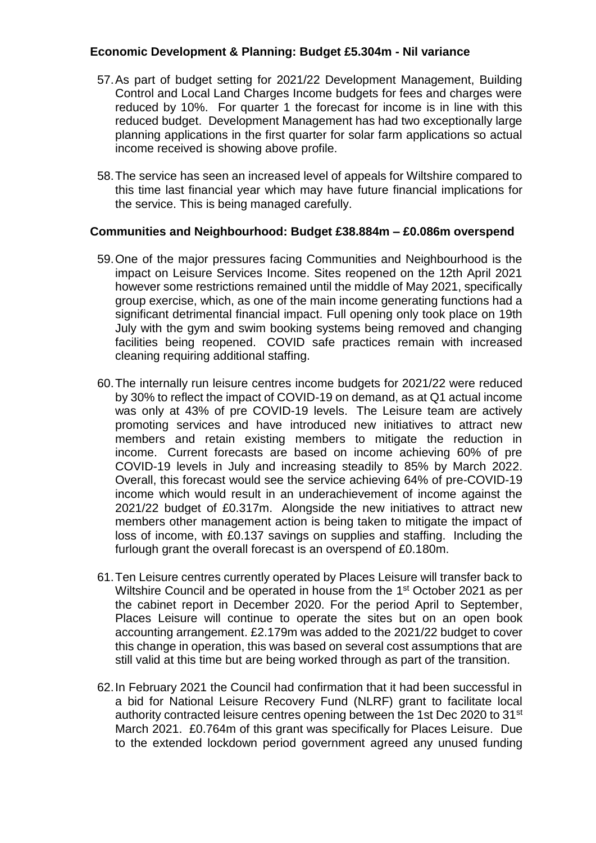## **Economic Development & Planning: Budget £5.304m - Nil variance**

- 57.As part of budget setting for 2021/22 Development Management, Building Control and Local Land Charges Income budgets for fees and charges were reduced by 10%. For quarter 1 the forecast for income is in line with this reduced budget. Development Management has had two exceptionally large planning applications in the first quarter for solar farm applications so actual income received is showing above profile.
- 58.The service has seen an increased level of appeals for Wiltshire compared to this time last financial year which may have future financial implications for the service. This is being managed carefully.

#### **Communities and Neighbourhood: Budget £38.884m – £0.086m overspend**

- 59.One of the major pressures facing Communities and Neighbourhood is the impact on Leisure Services Income. Sites reopened on the 12th April 2021 however some restrictions remained until the middle of May 2021, specifically group exercise, which, as one of the main income generating functions had a significant detrimental financial impact. Full opening only took place on 19th July with the gym and swim booking systems being removed and changing facilities being reopened. COVID safe practices remain with increased cleaning requiring additional staffing.
- 60.The internally run leisure centres income budgets for 2021/22 were reduced by 30% to reflect the impact of COVID-19 on demand, as at Q1 actual income was only at 43% of pre COVID-19 levels. The Leisure team are actively promoting services and have introduced new initiatives to attract new members and retain existing members to mitigate the reduction in income. Current forecasts are based on income achieving 60% of pre COVID-19 levels in July and increasing steadily to 85% by March 2022. Overall, this forecast would see the service achieving 64% of pre-COVID-19 income which would result in an underachievement of income against the 2021/22 budget of £0.317m. Alongside the new initiatives to attract new members other management action is being taken to mitigate the impact of loss of income, with £0.137 savings on supplies and staffing. Including the furlough grant the overall forecast is an overspend of £0.180m.
- 61.Ten Leisure centres currently operated by Places Leisure will transfer back to Wiltshire Council and be operated in house from the 1<sup>st</sup> October 2021 as per the cabinet report in December 2020. For the period April to September, Places Leisure will continue to operate the sites but on an open book accounting arrangement. £2.179m was added to the 2021/22 budget to cover this change in operation, this was based on several cost assumptions that are still valid at this time but are being worked through as part of the transition.
- 62.In February 2021 the Council had confirmation that it had been successful in a bid for National Leisure Recovery Fund (NLRF) grant to facilitate local authority contracted leisure centres opening between the 1st Dec 2020 to 31<sup>st</sup> March 2021. £0.764m of this grant was specifically for Places Leisure. Due to the extended lockdown period government agreed any unused funding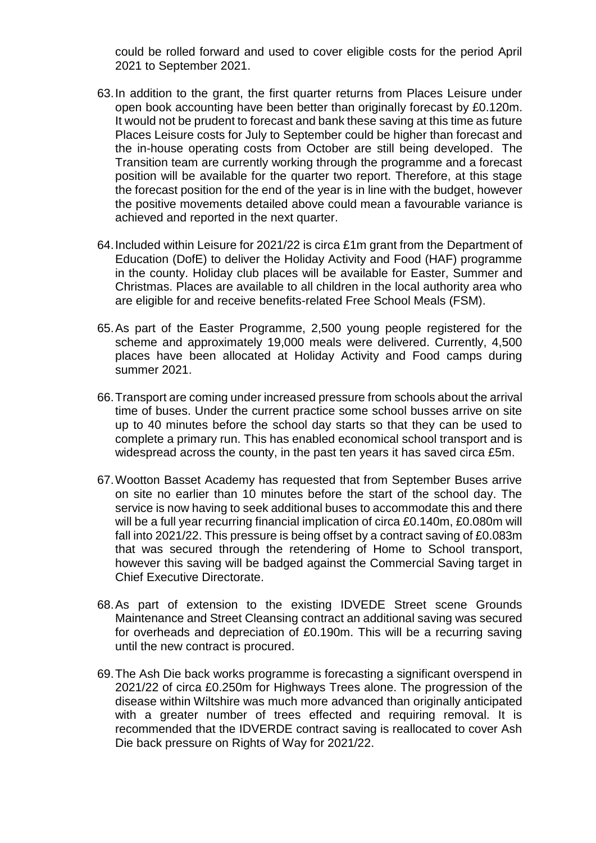could be rolled forward and used to cover eligible costs for the period April 2021 to September 2021.

- 63.In addition to the grant, the first quarter returns from Places Leisure under open book accounting have been better than originally forecast by £0.120m. It would not be prudent to forecast and bank these saving at this time as future Places Leisure costs for July to September could be higher than forecast and the in-house operating costs from October are still being developed. The Transition team are currently working through the programme and a forecast position will be available for the quarter two report. Therefore, at this stage the forecast position for the end of the year is in line with the budget, however the positive movements detailed above could mean a favourable variance is achieved and reported in the next quarter.
- 64.Included within Leisure for 2021/22 is circa £1m grant from the Department of Education (DofE) to deliver the Holiday Activity and Food (HAF) programme in the county. Holiday club places will be available for Easter, Summer and Christmas. Places are available to all children in the local authority area who are eligible for and receive benefits-related Free School Meals (FSM).
- 65.As part of the Easter Programme, 2,500 young people registered for the scheme and approximately 19,000 meals were delivered. Currently, 4,500 places have been allocated at Holiday Activity and Food camps during summer 2021.
- 66.Transport are coming under increased pressure from schools about the arrival time of buses. Under the current practice some school busses arrive on site up to 40 minutes before the school day starts so that they can be used to complete a primary run. This has enabled economical school transport and is widespread across the county, in the past ten years it has saved circa £5m.
- 67.Wootton Basset Academy has requested that from September Buses arrive on site no earlier than 10 minutes before the start of the school day. The service is now having to seek additional buses to accommodate this and there will be a full year recurring financial implication of circa £0.140m, £0.080m will fall into 2021/22. This pressure is being offset by a contract saving of £0.083m that was secured through the retendering of Home to School transport, however this saving will be badged against the Commercial Saving target in Chief Executive Directorate.
- 68.As part of extension to the existing IDVEDE Street scene Grounds Maintenance and Street Cleansing contract an additional saving was secured for overheads and depreciation of £0.190m. This will be a recurring saving until the new contract is procured.
- 69.The Ash Die back works programme is forecasting a significant overspend in 2021/22 of circa £0.250m for Highways Trees alone. The progression of the disease within Wiltshire was much more advanced than originally anticipated with a greater number of trees effected and requiring removal. It is recommended that the IDVERDE contract saving is reallocated to cover Ash Die back pressure on Rights of Way for 2021/22.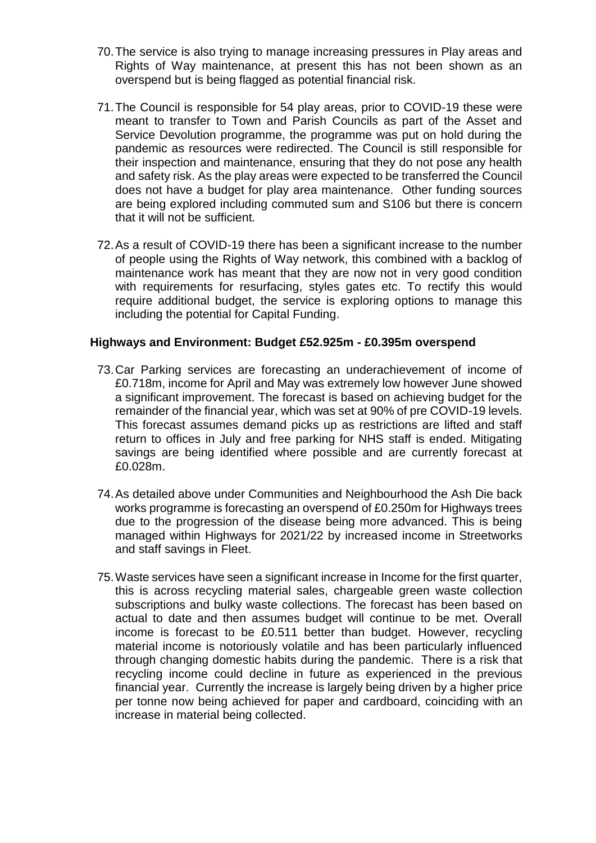- 70.The service is also trying to manage increasing pressures in Play areas and Rights of Way maintenance, at present this has not been shown as an overspend but is being flagged as potential financial risk.
- 71.The Council is responsible for 54 play areas, prior to COVID-19 these were meant to transfer to Town and Parish Councils as part of the Asset and Service Devolution programme, the programme was put on hold during the pandemic as resources were redirected. The Council is still responsible for their inspection and maintenance, ensuring that they do not pose any health and safety risk. As the play areas were expected to be transferred the Council does not have a budget for play area maintenance. Other funding sources are being explored including commuted sum and S106 but there is concern that it will not be sufficient.
- 72.As a result of COVID-19 there has been a significant increase to the number of people using the Rights of Way network, this combined with a backlog of maintenance work has meant that they are now not in very good condition with requirements for resurfacing, styles gates etc. To rectify this would require additional budget, the service is exploring options to manage this including the potential for Capital Funding.

#### **Highways and Environment: Budget £52.925m - £0.395m overspend**

- 73.Car Parking services are forecasting an underachievement of income of £0.718m, income for April and May was extremely low however June showed a significant improvement. The forecast is based on achieving budget for the remainder of the financial year, which was set at 90% of pre COVID-19 levels. This forecast assumes demand picks up as restrictions are lifted and staff return to offices in July and free parking for NHS staff is ended. Mitigating savings are being identified where possible and are currently forecast at £0.028m.
- 74.As detailed above under Communities and Neighbourhood the Ash Die back works programme is forecasting an overspend of £0.250m for Highways trees due to the progression of the disease being more advanced. This is being managed within Highways for 2021/22 by increased income in Streetworks and staff savings in Fleet.
- 75.Waste services have seen a significant increase in Income for the first quarter, this is across recycling material sales, chargeable green waste collection subscriptions and bulky waste collections. The forecast has been based on actual to date and then assumes budget will continue to be met. Overall income is forecast to be £0.511 better than budget. However, recycling material income is notoriously volatile and has been particularly influenced through changing domestic habits during the pandemic. There is a risk that recycling income could decline in future as experienced in the previous financial year. Currently the increase is largely being driven by a higher price per tonne now being achieved for paper and cardboard, coinciding with an increase in material being collected.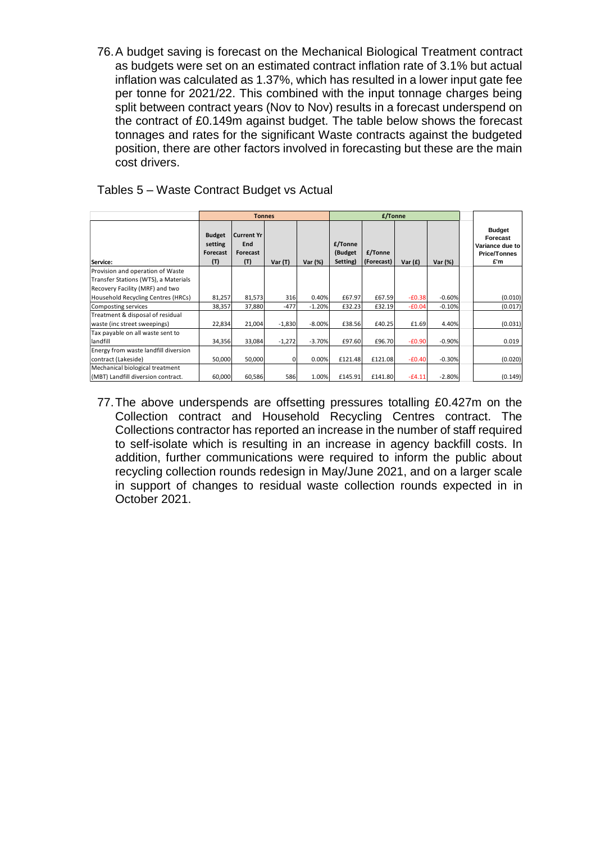76.A budget saving is forecast on the Mechanical Biological Treatment contract as budgets were set on an estimated contract inflation rate of 3.1% but actual inflation was calculated as 1.37%, which has resulted in a lower input gate fee per tonne for 2021/22. This combined with the input tonnage charges being split between contract years (Nov to Nov) results in a forecast underspend on the contract of £0.149m against budget. The table below shows the forecast tonnages and rates for the significant Waste contracts against the budgeted position, there are other factors involved in forecasting but these are the main cost drivers.

| Tables 5 - Waste Contract Budget vs Actual |
|--------------------------------------------|
|--------------------------------------------|

|                                                                  | <b>Tonnes</b>                               |                                             |          | £/Tonne  |                                |                       |           |           |                                                                            |
|------------------------------------------------------------------|---------------------------------------------|---------------------------------------------|----------|----------|--------------------------------|-----------------------|-----------|-----------|----------------------------------------------------------------------------|
| Service:                                                         | <b>Budget</b><br>setting<br>Forecast<br>(T) | <b>Current Yr</b><br>End<br>Forecast<br>(T) | Var (T)  | Var (%)  | £/Tonne<br>(Budget<br>Setting) | £/Tonne<br>(Forecast) | Var $(f)$ | Var (%)   | <b>Budget</b><br>Forecast<br>Variance due to<br><b>Price/Tonnes</b><br>£'m |
| Provision and operation of Waste                                 |                                             |                                             |          |          |                                |                       |           |           |                                                                            |
| Transfer Stations (WTS), a Materials                             |                                             |                                             |          |          |                                |                       |           |           |                                                                            |
| Recovery Facility (MRF) and two                                  |                                             |                                             |          |          |                                |                       |           |           |                                                                            |
| Household Recycling Centres (HRCs)                               | 81,257                                      | 81,573                                      | 316      | 0.40%    | £67.97                         | £67.59                | $-E0.38$  | $-0.60%$  | (0.010)                                                                    |
| Composting services                                              | 38,357                                      | 37,880                                      | $-477$   | $-1.20%$ | £32.23                         | £32.19                | $-£0.04$  | $-0.10%$  | (0.017)                                                                    |
| Treatment & disposal of residual<br>waste (inc street sweepings) | 22,834                                      | 21,004                                      | $-1,830$ | $-8.00%$ | £38.56                         | £40.25                | £1.69     | 4.40%     | (0.031)                                                                    |
| Tax payable on all waste sent to<br>landfill                     | 34,356                                      | 33,084                                      | $-1,272$ | $-3.70%$ | £97.60                         | £96.70                | $-£0.90$  | $-0.90\%$ | 0.019                                                                      |
| Energy from waste landfill diversion                             |                                             |                                             |          |          |                                |                       |           |           |                                                                            |
| contract (Lakeside)                                              | 50,000                                      | 50,000                                      |          | 0.00%    | £121.48                        | £121.08               | $-£0.40$  | $-0.30%$  | (0.020)                                                                    |
| Mechanical biological treatment                                  |                                             |                                             |          |          |                                |                       |           |           |                                                                            |
| (MBT) Landfill diversion contract.                               | 60.000                                      | 60.586                                      | 586      | 1.00%    | £145.91                        | £141.80               | $-64.11$  | $-2.80%$  | (0.149)                                                                    |

77.The above underspends are offsetting pressures totalling £0.427m on the Collection contract and Household Recycling Centres contract. The Collections contractor has reported an increase in the number of staff required to self-isolate which is resulting in an increase in agency backfill costs. In addition, further communications were required to inform the public about recycling collection rounds redesign in May/June 2021, and on a larger scale in support of changes to residual waste collection rounds expected in in October 2021.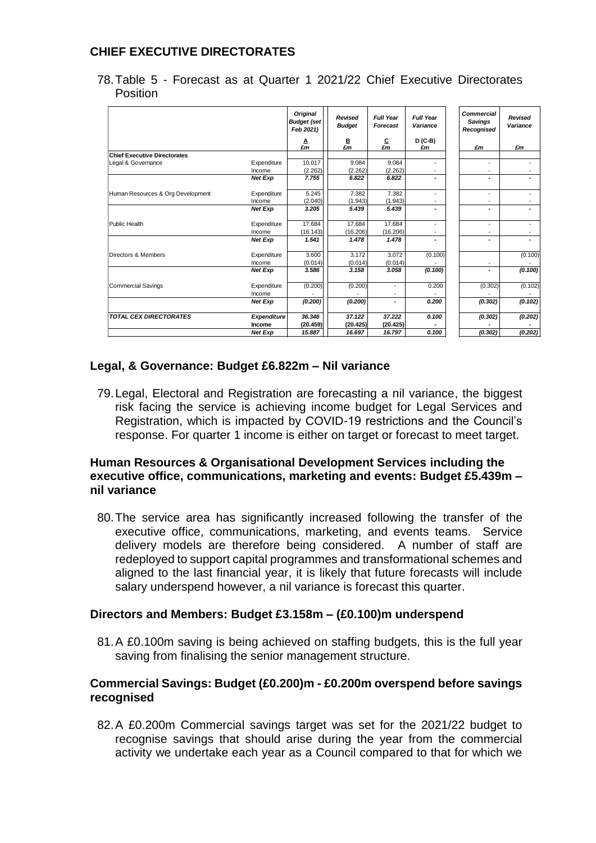## **CHIEF EXECUTIVE DIRECTORATES**

|                                     |                | <b>Original</b><br><b>Budget (set</b><br>Feb 2021) | Revised<br><b>Budget</b>     | <b>Full Year</b><br>Forecast | <b>Full Year</b><br>Variance | <b>Commercial</b><br>Savings<br>Recognised | Revised<br>Variance |
|-------------------------------------|----------------|----------------------------------------------------|------------------------------|------------------------------|------------------------------|--------------------------------------------|---------------------|
|                                     |                | $\frac{A}{\pmb{\varepsilon}}$                      | $\frac{\text{B}}{\pounds m}$ | $\frac{C}{\pounds m}$        | $D(C-B)$<br>£m               | £m                                         | £m                  |
| <b>Chief Executive Directorates</b> |                |                                                    |                              |                              |                              |                                            |                     |
| Legal & Governance                  | Expenditure    | 10.017                                             | 9.084                        | 9.084                        |                              | $\overline{\phantom{a}}$                   |                     |
|                                     | Income         | (2.262)                                            | (2.262)                      | (2.262)                      |                              |                                            |                     |
|                                     | <b>Net Exp</b> | 7.755                                              | 6.822                        | 6.822                        |                              | ٠                                          |                     |
| Human Resources & Org Development   | Expenditure    | 5.245                                              | 7.382                        | 7.382                        |                              | $\overline{\phantom{a}}$                   |                     |
|                                     | Income         | (2.040)                                            | (1.943)                      | (1.943)                      |                              |                                            |                     |
|                                     | Net Exp        | 3.205                                              | 5.439                        | 5.439                        |                              | ٠                                          |                     |
| Public Health                       | Expenditure    | 17.684                                             | 17.684                       | 17.684                       | $\overline{\phantom{a}}$     | $\overline{\phantom{a}}$                   |                     |
|                                     | Income         | (16.143)                                           | (16.206)                     | (16.206)                     |                              |                                            |                     |
|                                     | Net Exp        | 1.541                                              | 1.478                        | 1.478                        |                              | ٠                                          | ۰                   |
| Directors & Members                 | Expenditure    | 3,600                                              | 3.172                        | 3.072                        | (0.100)                      |                                            | (0.100)             |
|                                     | Income         | (0.014)                                            | (0.014)                      | (0.014)                      |                              |                                            |                     |
|                                     | <b>Net Exp</b> | 3.586                                              | 3.158                        | 3.058                        | (0.100)                      | ٠                                          | (0.100)             |
| <b>Commercial Savings</b>           | Expenditure    | (0.200)                                            | (0.200)                      | $\blacksquare$               | 0.200                        | (0.302)                                    | (0.102)             |
|                                     | Income         |                                                    |                              |                              |                              |                                            |                     |
|                                     | Net Exp        | (0.200)                                            | (0.200)                      | ٠                            | 0.200                        | (0.302)                                    | (0.102)             |
| <b>TOTAL CEX DIRECTORATES</b>       | Expenditure    | 36.346                                             | 37.122                       | 37.222                       | 0.100                        | (0.302)                                    | (0.202)             |
|                                     | Income         | (20.459)                                           | (20.425)                     | (20.425)                     |                              |                                            |                     |
|                                     | <b>Net Exp</b> | 15.887                                             | 16.697                       | 16.797                       | 0.100                        | (0.302)                                    | (0.202)             |

78.Table 5 - Forecast as at Quarter 1 2021/22 Chief Executive Directorates Position

## **Legal, & Governance: Budget £6.822m – Nil variance**

79.Legal, Electoral and Registration are forecasting a nil variance, the biggest risk facing the service is achieving income budget for Legal Services and Registration, which is impacted by COVID-19 restrictions and the Council's response. For quarter 1 income is either on target or forecast to meet target.

#### **Human Resources & Organisational Development Services including the executive office, communications, marketing and events: Budget £5.439m – nil variance**

80.The service area has significantly increased following the transfer of the executive office, communications, marketing, and events teams. Service delivery models are therefore being considered. A number of staff are redeployed to support capital programmes and transformational schemes and aligned to the last financial year, it is likely that future forecasts will include salary underspend however, a nil variance is forecast this quarter.

#### **Directors and Members: Budget £3.158m – (£0.100)m underspend**

81.A £0.100m saving is being achieved on staffing budgets, this is the full year saving from finalising the senior management structure.

#### **Commercial Savings: Budget (£0.200)m - £0.200m overspend before savings recognised**

82.A £0.200m Commercial savings target was set for the 2021/22 budget to recognise savings that should arise during the year from the commercial activity we undertake each year as a Council compared to that for which we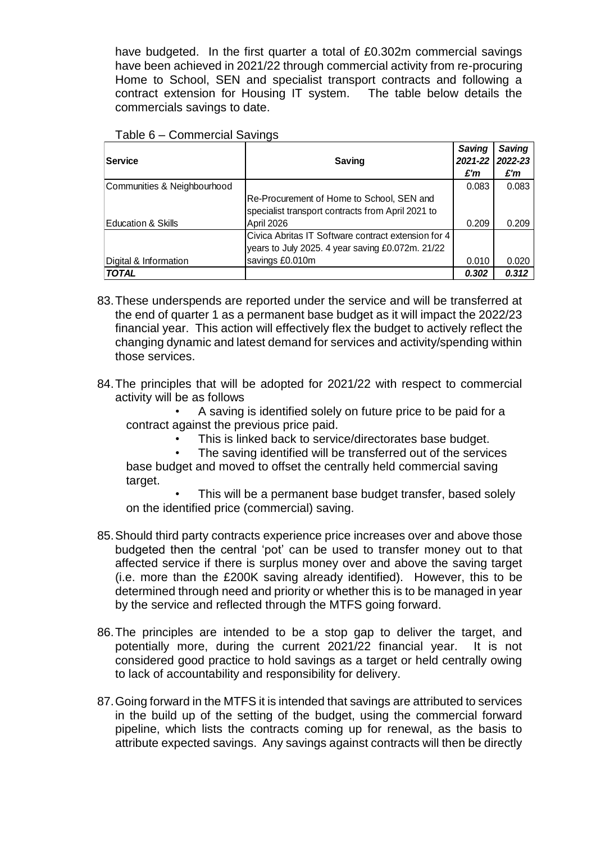have budgeted. In the first quarter a total of £0.302m commercial savings have been achieved in 2021/22 through commercial activity from re-procuring Home to School, SEN and specialist transport contracts and following a contract extension for Housing IT system. The table below details the commercials savings to date.

|  | Table 6 – Commercial Savings |  |
|--|------------------------------|--|
|--|------------------------------|--|

| Service                        | Saving                                              | Saving<br>2021-22 | <b>Saving</b><br>2022-23 |
|--------------------------------|-----------------------------------------------------|-------------------|--------------------------|
|                                |                                                     | £'m               | £'m                      |
| Communities & Neighbourhood    |                                                     | 0.083             | 0.083                    |
|                                | Re-Procurement of Home to School, SEN and           |                   |                          |
|                                | specialist transport contracts from April 2021 to   |                   |                          |
| <b>IEducation &amp; Skills</b> | April 2026                                          | 0.209             | 0.209                    |
|                                | Civica Abritas IT Software contract extension for 4 |                   |                          |
|                                | years to July 2025. 4 year saving £0.072m. 21/22    |                   |                          |
| Digital & Information          | savings £0.010m                                     | 0.010             | 0.020                    |
| <b>TOTAL</b>                   |                                                     | 0.302             | 0.312                    |

- 83.These underspends are reported under the service and will be transferred at the end of quarter 1 as a permanent base budget as it will impact the 2022/23 financial year. This action will effectively flex the budget to actively reflect the changing dynamic and latest demand for services and activity/spending within those services.
- 84.The principles that will be adopted for 2021/22 with respect to commercial activity will be as follows

• A saving is identified solely on future price to be paid for a contract against the previous price paid.

This is linked back to service/directorates base budget.

The saving identified will be transferred out of the services base budget and moved to offset the centrally held commercial saving target.

This will be a permanent base budget transfer, based solely on the identified price (commercial) saving.

- 85.Should third party contracts experience price increases over and above those budgeted then the central 'pot' can be used to transfer money out to that affected service if there is surplus money over and above the saving target (i.e. more than the £200K saving already identified). However, this to be determined through need and priority or whether this is to be managed in year by the service and reflected through the MTFS going forward.
- 86.The principles are intended to be a stop gap to deliver the target, and potentially more, during the current 2021/22 financial year. It is not considered good practice to hold savings as a target or held centrally owing to lack of accountability and responsibility for delivery.
- 87.Going forward in the MTFS it is intended that savings are attributed to services in the build up of the setting of the budget, using the commercial forward pipeline, which lists the contracts coming up for renewal, as the basis to attribute expected savings. Any savings against contracts will then be directly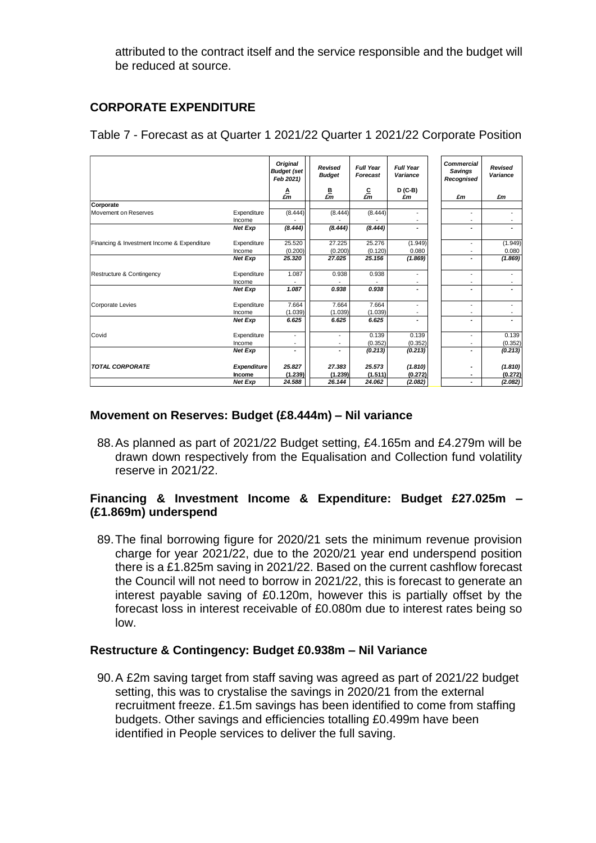attributed to the contract itself and the service responsible and the budget will be reduced at source.

## **CORPORATE EXPENDITURE**

|                                             |                       | <b>Original</b><br><b>Budget (set</b><br>Feb 2021) | Revised<br><b>Budget</b>                 | <b>Full Year</b><br><b>Forecast</b> | <b>Full Year</b><br>Variance | Commercial<br><b>Savings</b><br>Recognised | Revised<br>Variance |
|---------------------------------------------|-----------------------|----------------------------------------------------|------------------------------------------|-------------------------------------|------------------------------|--------------------------------------------|---------------------|
|                                             |                       | A<br>£m                                            | $\frac{\mathsf{B}}{\pmb{\varepsilon m}}$ | $\frac{C}{\pounds m}$               | $D$ (C-B)<br>£m              | £m                                         | £m                  |
| Corporate                                   |                       |                                                    |                                          |                                     |                              |                                            |                     |
| Movement on Reserves                        | Expenditure<br>Income | (8.444)                                            | (8.444)                                  | (8.444)                             |                              | ۰                                          |                     |
|                                             | <b>Net Exp</b>        | (8.444)                                            | (8.444)                                  | (8.444)                             | ٠                            | ٠                                          |                     |
| Financing & Investment Income & Expenditure | Expenditure           | 25.520                                             | 27.225                                   | 25.276                              | (1.949)                      |                                            | (1.949)             |
|                                             | Income                | (0.200)                                            | (0.200)                                  | (0.120)                             | 0.080                        |                                            | 0.080               |
|                                             | Net Exp               | 25.320                                             | 27.025                                   | 25.156                              | (1.869)                      | ٠                                          | (1.869)             |
| Restructure & Contingency                   | Expenditure           | 1.087                                              | 0.938                                    | 0.938                               |                              | ۰                                          |                     |
|                                             | Income                |                                                    |                                          |                                     |                              |                                            |                     |
|                                             | Net Exp               | 1.087                                              | 0.938                                    | 0.938                               | ٠                            | ٠                                          |                     |
| <b>Corporate Levies</b>                     | Expenditure           | 7.664                                              | 7.664                                    | 7.664                               |                              | ۰                                          |                     |
|                                             | Income                | (1.039)                                            | (1.039)                                  | (1.039)                             |                              |                                            |                     |
|                                             | <b>Net Exp</b>        | 6.625                                              | 6.625                                    | 6.625                               | ٠                            |                                            |                     |
| Covid                                       | Expenditure           | $\overline{\phantom{a}}$                           | ٠                                        | 0.139                               | 0.139                        | ۰                                          | 0.139               |
|                                             | Income                |                                                    |                                          | (0.352)                             | (0.352)                      |                                            | (0.352)             |
|                                             | <b>Net Exp</b>        | $\overline{a}$                                     | ٠                                        | (0.213)                             | (0.213)                      |                                            | (0.213)             |
| <b>TOTAL CORPORATE</b>                      | <b>Expenditure</b>    | 25.827                                             | 27.383                                   | 25.573                              | (1.810)                      |                                            | (1.810)             |
|                                             | Income                | (1.239)                                            | (1.239)                                  | (1.511)                             | (0.272)                      |                                            | (0.272)             |
|                                             | <b>Net Exp</b>        | 24.588                                             | 26.144                                   | 24.062                              | (2.082)                      |                                            | (2.082)             |

Table 7 - Forecast as at Quarter 1 2021/22 Quarter 1 2021/22 Corporate Position

## **Movement on Reserves: Budget (£8.444m) – Nil variance**

88.As planned as part of 2021/22 Budget setting, £4.165m and £4.279m will be drawn down respectively from the Equalisation and Collection fund volatility reserve in 2021/22.

## **Financing & Investment Income & Expenditure: Budget £27.025m – (£1.869m) underspend**

89.The final borrowing figure for 2020/21 sets the minimum revenue provision charge for year 2021/22, due to the 2020/21 year end underspend position there is a £1.825m saving in 2021/22. Based on the current cashflow forecast the Council will not need to borrow in 2021/22, this is forecast to generate an interest payable saving of £0.120m, however this is partially offset by the forecast loss in interest receivable of £0.080m due to interest rates being so low.

## **Restructure & Contingency: Budget £0.938m – Nil Variance**

90.A £2m saving target from staff saving was agreed as part of 2021/22 budget setting, this was to crystalise the savings in 2020/21 from the external recruitment freeze. £1.5m savings has been identified to come from staffing budgets. Other savings and efficiencies totalling £0.499m have been identified in People services to deliver the full saving.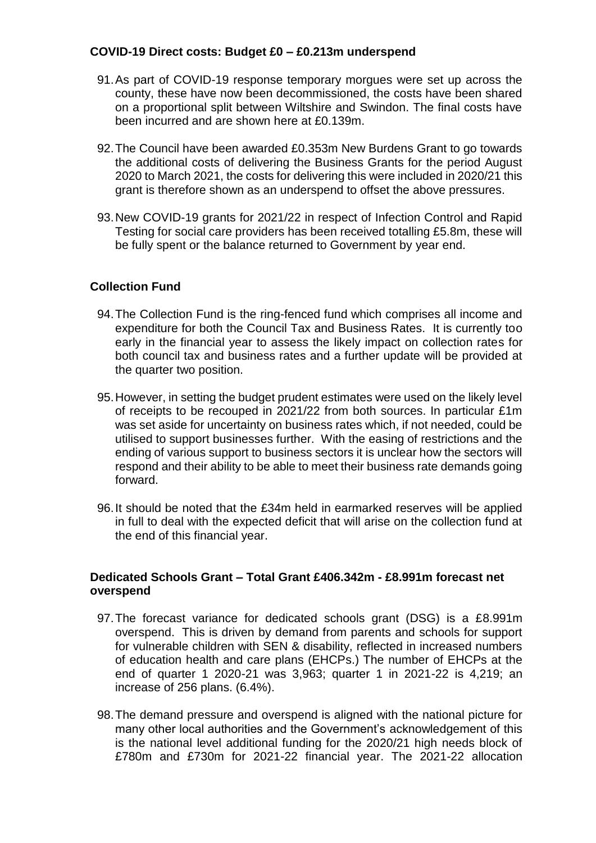## **COVID-19 Direct costs: Budget £0 – £0.213m underspend**

- 91.As part of COVID-19 response temporary morgues were set up across the county, these have now been decommissioned, the costs have been shared on a proportional split between Wiltshire and Swindon. The final costs have been incurred and are shown here at £0.139m.
- 92.The Council have been awarded £0.353m New Burdens Grant to go towards the additional costs of delivering the Business Grants for the period August 2020 to March 2021, the costs for delivering this were included in 2020/21 this grant is therefore shown as an underspend to offset the above pressures.
- 93.New COVID-19 grants for 2021/22 in respect of Infection Control and Rapid Testing for social care providers has been received totalling £5.8m, these will be fully spent or the balance returned to Government by year end.

#### **Collection Fund**

- 94.The Collection Fund is the ring-fenced fund which comprises all income and expenditure for both the Council Tax and Business Rates. It is currently too early in the financial year to assess the likely impact on collection rates for both council tax and business rates and a further update will be provided at the quarter two position.
- 95.However, in setting the budget prudent estimates were used on the likely level of receipts to be recouped in 2021/22 from both sources. In particular £1m was set aside for uncertainty on business rates which, if not needed, could be utilised to support businesses further. With the easing of restrictions and the ending of various support to business sectors it is unclear how the sectors will respond and their ability to be able to meet their business rate demands going forward.
- 96.It should be noted that the £34m held in earmarked reserves will be applied in full to deal with the expected deficit that will arise on the collection fund at the end of this financial year.

## **Dedicated Schools Grant – Total Grant £406.342m - £8.991m forecast net overspend**

- 97.The forecast variance for dedicated schools grant (DSG) is a £8.991m overspend. This is driven by demand from parents and schools for support for vulnerable children with SEN & disability, reflected in increased numbers of education health and care plans (EHCPs.) The number of EHCPs at the end of quarter 1 2020-21 was 3,963; quarter 1 in 2021-22 is 4,219; an increase of 256 plans. (6.4%).
- 98.The demand pressure and overspend is aligned with the national picture for many other local authorities and the Government's acknowledgement of this is the national level additional funding for the 2020/21 high needs block of £780m and £730m for 2021-22 financial year. The 2021-22 allocation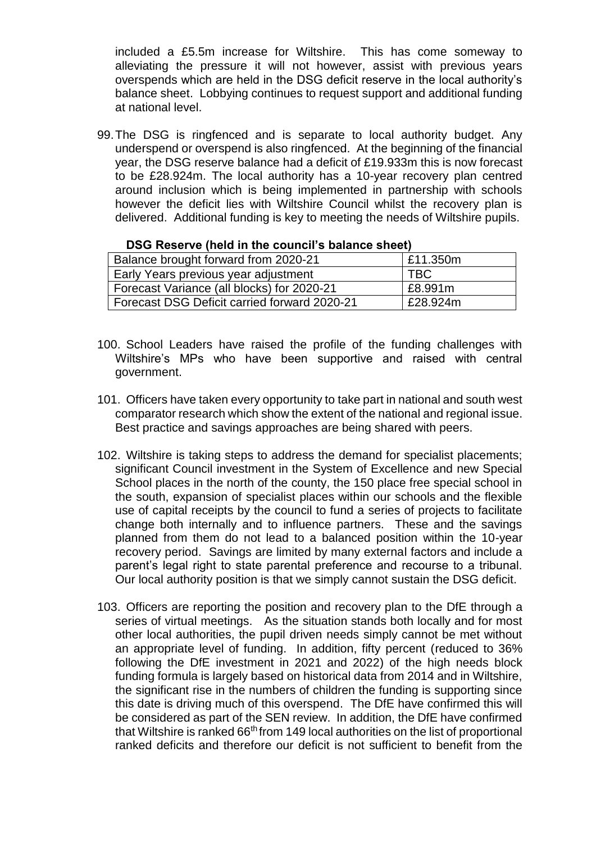included a £5.5m increase for Wiltshire. This has come someway to alleviating the pressure it will not however, assist with previous years overspends which are held in the DSG deficit reserve in the local authority's balance sheet. Lobbying continues to request support and additional funding at national level.

99.The DSG is ringfenced and is separate to local authority budget. Any underspend or overspend is also ringfenced. At the beginning of the financial year, the DSG reserve balance had a deficit of £19.933m this is now forecast to be £28.924m. The local authority has a 10-year recovery plan centred around inclusion which is being implemented in partnership with schools however the deficit lies with Wiltshire Council whilst the recovery plan is delivered. Additional funding is key to meeting the needs of Wiltshire pupils.

#### **DSG Reserve (held in the council's balance sheet)**

| Balance brought forward from 2020-21         | £11.350m   |
|----------------------------------------------|------------|
| Early Years previous year adjustment         | <b>TBC</b> |
| Forecast Variance (all blocks) for 2020-21   | £8.991m    |
| Forecast DSG Deficit carried forward 2020-21 | £28.924m   |

- 100. School Leaders have raised the profile of the funding challenges with Wiltshire's MPs who have been supportive and raised with central government.
- 101. Officers have taken every opportunity to take part in national and south west comparator research which show the extent of the national and regional issue. Best practice and savings approaches are being shared with peers.
- 102. Wiltshire is taking steps to address the demand for specialist placements; significant Council investment in the System of Excellence and new Special School places in the north of the county, the 150 place free special school in the south, expansion of specialist places within our schools and the flexible use of capital receipts by the council to fund a series of projects to facilitate change both internally and to influence partners. These and the savings planned from them do not lead to a balanced position within the 10-year recovery period. Savings are limited by many external factors and include a parent's legal right to state parental preference and recourse to a tribunal. Our local authority position is that we simply cannot sustain the DSG deficit.
- 103. Officers are reporting the position and recovery plan to the DfE through a series of virtual meetings. As the situation stands both locally and for most other local authorities, the pupil driven needs simply cannot be met without an appropriate level of funding. In addition, fifty percent (reduced to 36% following the DfE investment in 2021 and 2022) of the high needs block funding formula is largely based on historical data from 2014 and in Wiltshire, the significant rise in the numbers of children the funding is supporting since this date is driving much of this overspend. The DfE have confirmed this will be considered as part of the SEN review. In addition, the DfE have confirmed that Wiltshire is ranked  $66<sup>th</sup>$  from 149 local authorities on the list of proportional ranked deficits and therefore our deficit is not sufficient to benefit from the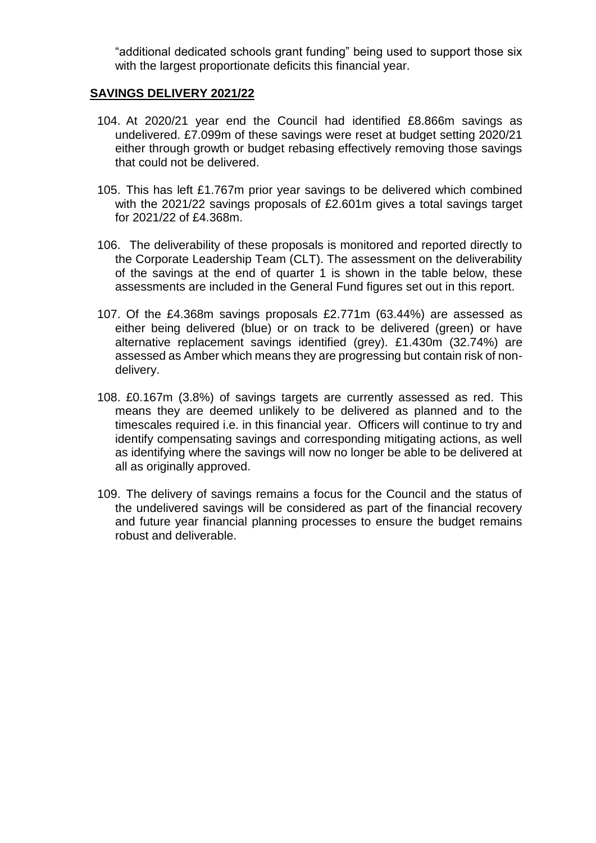"additional dedicated schools grant funding" being used to support those six with the largest proportionate deficits this financial year.

### **SAVINGS DELIVERY 2021/22**

- 104. At 2020/21 year end the Council had identified £8.866m savings as undelivered. £7.099m of these savings were reset at budget setting 2020/21 either through growth or budget rebasing effectively removing those savings that could not be delivered.
- 105. This has left £1.767m prior year savings to be delivered which combined with the 2021/22 savings proposals of £2.601m gives a total savings target for 2021/22 of £4.368m.
- 106. The deliverability of these proposals is monitored and reported directly to the Corporate Leadership Team (CLT). The assessment on the deliverability of the savings at the end of quarter 1 is shown in the table below, these assessments are included in the General Fund figures set out in this report.
- 107. Of the £4.368m savings proposals £2.771m (63.44%) are assessed as either being delivered (blue) or on track to be delivered (green) or have alternative replacement savings identified (grey). £1.430m (32.74%) are assessed as Amber which means they are progressing but contain risk of nondelivery.
- 108. £0.167m (3.8%) of savings targets are currently assessed as red. This means they are deemed unlikely to be delivered as planned and to the timescales required i.e. in this financial year. Officers will continue to try and identify compensating savings and corresponding mitigating actions, as well as identifying where the savings will now no longer be able to be delivered at all as originally approved.
- 109. The delivery of savings remains a focus for the Council and the status of the undelivered savings will be considered as part of the financial recovery and future year financial planning processes to ensure the budget remains robust and deliverable.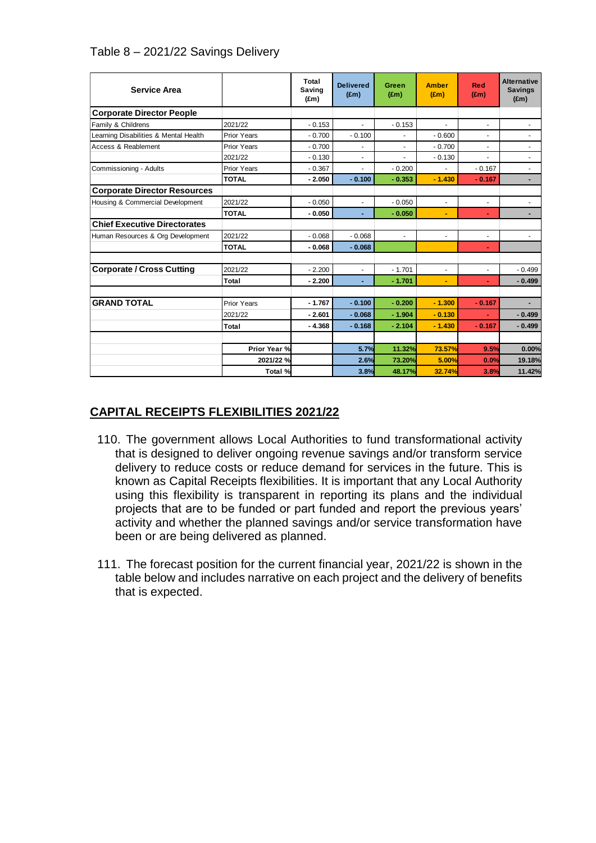| <b>Service Area</b>                   |                    | Total<br>Saving<br>$(\text{Em})$ | <b>Delivered</b><br>$(\text{Em})$ | Green<br>(f.m) | <b>Amber</b><br>$(\text{Em})$ | <b>Red</b><br>(Em) | <b>Alternative</b><br><b>Savings</b><br>$(\text{Em})$ |
|---------------------------------------|--------------------|----------------------------------|-----------------------------------|----------------|-------------------------------|--------------------|-------------------------------------------------------|
| <b>Corporate Director People</b>      |                    |                                  |                                   |                |                               |                    |                                                       |
| Family & Childrens                    | 2021/22            | $-0.153$                         | $\sim$                            | $-0.153$       | $\mathbf{r}$                  | $\sim$             | $\blacksquare$                                        |
| Learning Disabilities & Mental Health | <b>Prior Years</b> | $-0.700$                         | $-0.100$                          |                | $-0.600$                      |                    |                                                       |
| Access & Reablement                   | <b>Prior Years</b> | $-0.700$                         | ä,                                | ٠              | $-0.700$                      | ٠                  |                                                       |
|                                       | 2021/22            | $-0.130$                         | $\blacksquare$                    |                | $-0.130$                      |                    |                                                       |
| Commissioning - Adults                | <b>Prior Years</b> | $-0.367$                         | ä,                                | $-0.200$       |                               | $-0.167$           | $\sim$                                                |
|                                       | <b>TOTAL</b>       | $-2.050$                         | $-0.100$                          | $-0.353$       | $-1.430$                      | $-0.167$           | $\blacksquare$                                        |
| <b>Corporate Director Resources</b>   |                    |                                  |                                   |                |                               |                    |                                                       |
| Housing & Commercial Development      | 2021/22            | $-0.050$                         | $\blacksquare$                    | $-0.050$       | $\blacksquare$                | ٠                  | $\blacksquare$                                        |
|                                       | <b>TOTAL</b>       | $-0.050$                         | ÷                                 | $-0.050$       |                               | $\blacksquare$     |                                                       |
| <b>Chief Executive Directorates</b>   |                    |                                  |                                   |                |                               |                    |                                                       |
| Human Resources & Org Development     | 2021/22            | $-0.068$                         | $-0.068$                          | $\blacksquare$ | $\blacksquare$                | $\sim$             | $\blacksquare$                                        |
|                                       | <b>TOTAL</b>       | $-0.068$                         | $-0.068$                          |                |                               | $\sim$             |                                                       |
| <b>Corporate / Cross Cutting</b>      | 2021/22            | $-2.200$                         | $\blacksquare$                    | $-1.701$       | $\blacksquare$                | ٠                  | $-0.499$                                              |
|                                       | Total              | $-2.200$                         | $\blacksquare$                    | $-1.701$       | ۰                             | $\blacksquare$     | $-0.499$                                              |
| <b>GRAND TOTAL</b>                    | <b>Prior Years</b> | $-1.767$                         | $-0.100$                          | $-0.200$       | $-1.300$                      | $-0.167$           |                                                       |
|                                       | 2021/22            | $-2.601$                         | $-0.068$                          | $-1.904$       | $-0.130$                      | ÷.                 | $-0.499$                                              |
|                                       | <b>Total</b>       | $-4.368$                         | $-0.168$                          | $-2.104$       | $-1.430$                      | $-0.167$           | $-0.499$                                              |
|                                       |                    |                                  |                                   |                |                               |                    |                                                       |
|                                       | Prior Year %       |                                  | 5.7%                              | 11.32%         | 73.57%                        | 9.5%               | 0.00%                                                 |
|                                       | 2021/22 %          |                                  | 2.6%                              | 73.20%         | 5.00%                         | 0.0%               | 19.18%                                                |
|                                       | Total %            |                                  | 3.8%                              | 48.17%         | 32.74%                        | 3.8%               | 11.42%                                                |

## **CAPITAL RECEIPTS FLEXIBILITIES 2021/22**

- 110. The government allows Local Authorities to fund transformational activity that is designed to deliver ongoing revenue savings and/or transform service delivery to reduce costs or reduce demand for services in the future. This is known as Capital Receipts flexibilities. It is important that any Local Authority using this flexibility is transparent in reporting its plans and the individual projects that are to be funded or part funded and report the previous years' activity and whether the planned savings and/or service transformation have been or are being delivered as planned.
- 111. The forecast position for the current financial year, 2021/22 is shown in the table below and includes narrative on each project and the delivery of benefits that is expected.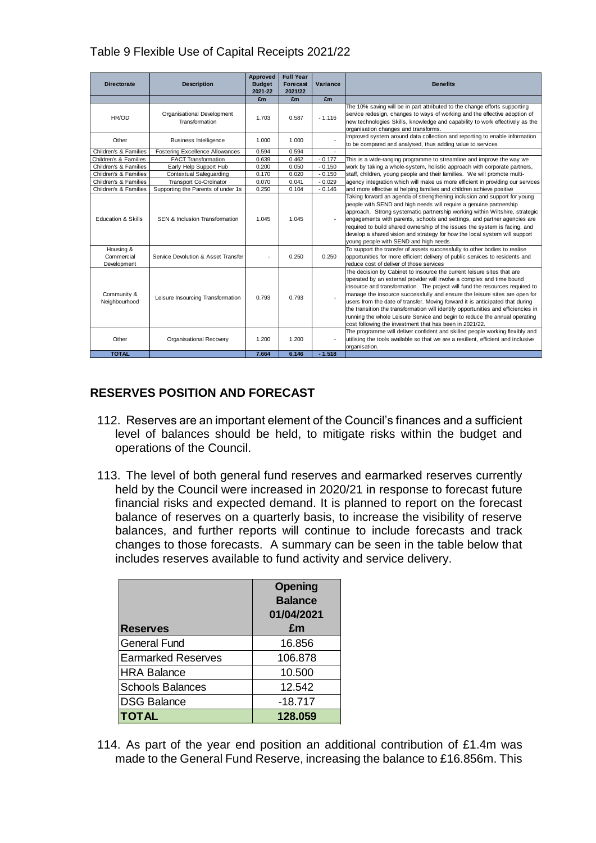| <b>Directorate</b>                     | <b>Description</b>                           | <b>Approved</b><br><b>Budget</b> | <b>Full Year</b><br><b>Forecast</b> | Variance                 | <b>Benefits</b>                                                                                                                                                                                                                                                                                                                                                                                                                                                                                                                                                                                                               |
|----------------------------------------|----------------------------------------------|----------------------------------|-------------------------------------|--------------------------|-------------------------------------------------------------------------------------------------------------------------------------------------------------------------------------------------------------------------------------------------------------------------------------------------------------------------------------------------------------------------------------------------------------------------------------------------------------------------------------------------------------------------------------------------------------------------------------------------------------------------------|
|                                        |                                              | 2021-22                          | 2021/22                             |                          |                                                                                                                                                                                                                                                                                                                                                                                                                                                                                                                                                                                                                               |
|                                        |                                              | £m                               | £m                                  | £m                       |                                                                                                                                                                                                                                                                                                                                                                                                                                                                                                                                                                                                                               |
| HR/OD                                  | Organisational Development<br>Transformation | 1.703                            | 0.587                               | $-1.116$                 | The 10% saving will be in part attributed to the change efforts supporting<br>service redesign, changes to ways of working and the effective adoption of<br>new technologies Skills, knowledge and capability to work effectively as the<br>organisation changes and transforms.                                                                                                                                                                                                                                                                                                                                              |
| Other                                  | <b>Business Intelligence</b>                 | 1.000                            | 1.000                               |                          | Improved system around data collection and reporting to enable information<br>to be compared and analysed, thus adding value to services                                                                                                                                                                                                                                                                                                                                                                                                                                                                                      |
| Children's & Families                  | <b>Fostering Excellence Allowances</b>       | 0.594                            | 0.594                               | ÷                        |                                                                                                                                                                                                                                                                                                                                                                                                                                                                                                                                                                                                                               |
| Children's & Families                  | <b>FACT Transformation</b>                   | 0.639                            | 0.462                               | $-0.177$                 | This is a wide-ranging programme to streamline and improve the way we                                                                                                                                                                                                                                                                                                                                                                                                                                                                                                                                                         |
| Children's & Families                  | Early Help Support Hub                       | 0.200                            | 0.050                               | $-0.150$                 | work by taking a whole-system, holistic approach with corporate partners,                                                                                                                                                                                                                                                                                                                                                                                                                                                                                                                                                     |
| Children's & Families                  | Contextual Safeguarding                      | 0.170                            | 0.020                               | $-0.150$                 | staff, children, young people and their families. We will promote multi-                                                                                                                                                                                                                                                                                                                                                                                                                                                                                                                                                      |
| Children's & Families                  | <b>Transport Co-Ordinator</b>                | 0.070                            | 0.041                               | $-0.029$                 | agency integration which will make us more efficient in providing our services                                                                                                                                                                                                                                                                                                                                                                                                                                                                                                                                                |
| Children's & Families                  | Supporting the Parents of under 1s           | 0.250                            | 0.104                               | $-0.146$                 | and more effective at helping families and children achieve positive                                                                                                                                                                                                                                                                                                                                                                                                                                                                                                                                                          |
| <b>Education &amp; Skills</b>          | SEN & Inclusion Transformation               | 1.045                            | 1.045                               |                          | Taking forward an agenda of strengthening inclusion and support for young<br>people with SEND and high needs will require a genuine partnership<br>approach. Strong systematic partnership working within Wiltshire, strategic<br>engagements with parents, schools and settings, and partner agencies are<br>required to build shared ownership of the issues the system is facing, and<br>develop a shared vision and strategy for how the local system will support<br>young people with SEND and high needs                                                                                                               |
| Housing &<br>Commercial<br>Development | Service Devolution & Asset Transfer          |                                  | 0.250                               | 0.250                    | To support the transfer of assets successfully to other bodies to realise<br>opportunities for more efficient delivery of public services to residents and<br>reduce cost of deliver of those services                                                                                                                                                                                                                                                                                                                                                                                                                        |
| Community &<br>Neighbourhood           | Leisure Insourcing Transformation            | 0.793                            | 0.793                               | $\overline{\phantom{a}}$ | The decision by Cabinet to insource the current leisure sites that are<br>operated by an external provider will involve a complex and time bound<br>insource and transformation. The project will fund the resources required to<br>manage the insource successfully and ensure the leisure sites are open for<br>users from the date of transfer. Moving forward it is anticipated that during<br>the transition the transformation will identify opportunities and efficiencies in<br>running the whole Leisure Service and begin to reduce the annual operating<br>cost following the investment that has been in 2021/22. |
| Other                                  | Organisational Recovery                      | 1.200                            | 1.200                               | ÷                        | The programme will deliver confident and skilled people working flexibly and<br>utilising the tools available so that we are a resilient, efficient and inclusive<br>organisation.                                                                                                                                                                                                                                                                                                                                                                                                                                            |
| <b>TOTAL</b>                           |                                              | 7.664                            | 6.146                               | $-1.518$                 |                                                                                                                                                                                                                                                                                                                                                                                                                                                                                                                                                                                                                               |

## Table 9 Flexible Use of Capital Receipts 2021/22

## **RESERVES POSITION AND FORECAST**

- 112. Reserves are an important element of the Council's finances and a sufficient level of balances should be held, to mitigate risks within the budget and operations of the Council.
- 113. The level of both general fund reserves and earmarked reserves currently held by the Council were increased in 2020/21 in response to forecast future financial risks and expected demand. It is planned to report on the forecast balance of reserves on a quarterly basis, to increase the visibility of reserve balances, and further reports will continue to include forecasts and track changes to those forecasts. A summary can be seen in the table below that includes reserves available to fund activity and service delivery.

| <b>Reserves</b>           | <b>Opening</b><br><b>Balance</b><br>01/04/2021<br>£m |
|---------------------------|------------------------------------------------------|
| <b>General Fund</b>       | 16.856                                               |
| <b>Earmarked Reserves</b> | 106.878                                              |
| <b>HRA Balance</b>        | 10.500                                               |
| <b>Schools Balances</b>   | 12.542                                               |
| <b>DSG Balance</b>        | $-18.717$                                            |
| <b>ITOTAL</b>             | 128.059                                              |

114. As part of the year end position an additional contribution of £1.4m was made to the General Fund Reserve, increasing the balance to £16.856m. This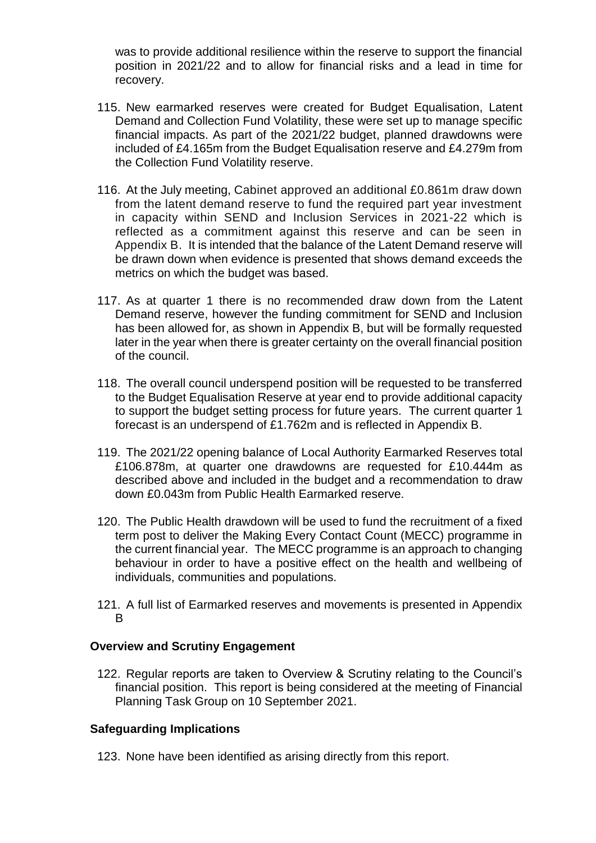was to provide additional resilience within the reserve to support the financial position in 2021/22 and to allow for financial risks and a lead in time for recovery.

- 115. New earmarked reserves were created for Budget Equalisation, Latent Demand and Collection Fund Volatility, these were set up to manage specific financial impacts. As part of the 2021/22 budget, planned drawdowns were included of £4.165m from the Budget Equalisation reserve and £4.279m from the Collection Fund Volatility reserve.
- 116. At the July meeting, Cabinet approved an additional £0.861m draw down from the latent demand reserve to fund the required part year investment in capacity within SEND and Inclusion Services in 2021-22 which is reflected as a commitment against this reserve and can be seen in Appendix B. It is intended that the balance of the Latent Demand reserve will be drawn down when evidence is presented that shows demand exceeds the metrics on which the budget was based.
- 117. As at quarter 1 there is no recommended draw down from the Latent Demand reserve, however the funding commitment for SEND and Inclusion has been allowed for, as shown in Appendix B, but will be formally requested later in the year when there is greater certainty on the overall financial position of the council.
- 118. The overall council underspend position will be requested to be transferred to the Budget Equalisation Reserve at year end to provide additional capacity to support the budget setting process for future years. The current quarter 1 forecast is an underspend of £1.762m and is reflected in Appendix B.
- 119. The 2021/22 opening balance of Local Authority Earmarked Reserves total £106.878m, at quarter one drawdowns are requested for £10.444m as described above and included in the budget and a recommendation to draw down £0.043m from Public Health Earmarked reserve.
- 120. The Public Health drawdown will be used to fund the recruitment of a fixed term post to deliver the Making Every Contact Count (MECC) programme in the current financial year. The MECC programme is an approach to changing behaviour in order to have a positive effect on the health and wellbeing of individuals, communities and populations.
- 121. A full list of Earmarked reserves and movements is presented in Appendix B

## **Overview and Scrutiny Engagement**

122. Regular reports are taken to Overview & Scrutiny relating to the Council's financial position. This report is being considered at the meeting of Financial Planning Task Group on 10 September 2021.

#### **Safeguarding Implications**

123. None have been identified as arising directly from this report.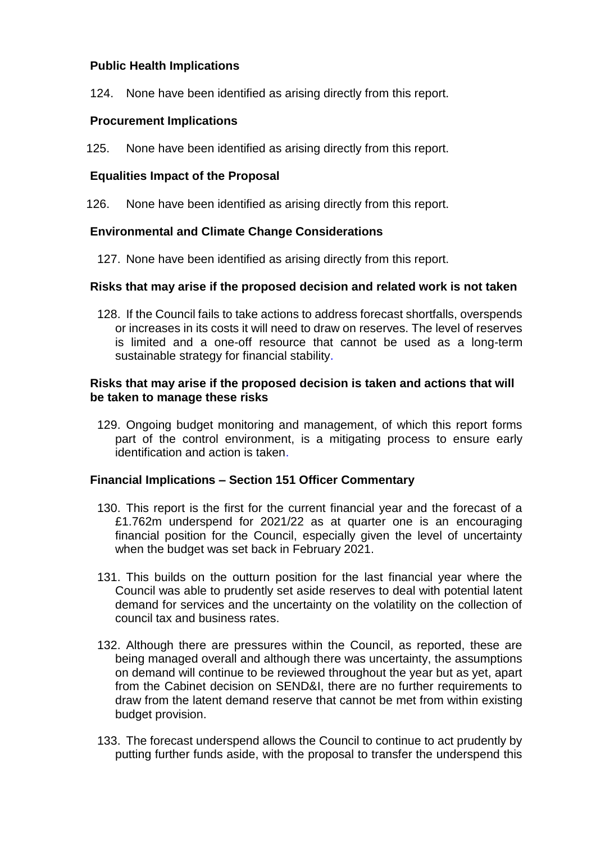## **Public Health Implications**

124. None have been identified as arising directly from this report.

### **Procurement Implications**

125. None have been identified as arising directly from this report.

#### **Equalities Impact of the Proposal**

126. None have been identified as arising directly from this report.

#### **Environmental and Climate Change Considerations**

127. None have been identified as arising directly from this report.

#### **Risks that may arise if the proposed decision and related work is not taken**

128. If the Council fails to take actions to address forecast shortfalls, overspends or increases in its costs it will need to draw on reserves. The level of reserves is limited and a one-off resource that cannot be used as a long-term sustainable strategy for financial stability.

### **Risks that may arise if the proposed decision is taken and actions that will be taken to manage these risks**

129. Ongoing budget monitoring and management, of which this report forms part of the control environment, is a mitigating process to ensure early identification and action is taken.

#### **Financial Implications – Section 151 Officer Commentary**

- 130. This report is the first for the current financial year and the forecast of a £1.762m underspend for 2021/22 as at quarter one is an encouraging financial position for the Council, especially given the level of uncertainty when the budget was set back in February 2021.
- 131. This builds on the outturn position for the last financial year where the Council was able to prudently set aside reserves to deal with potential latent demand for services and the uncertainty on the volatility on the collection of council tax and business rates.
- 132. Although there are pressures within the Council, as reported, these are being managed overall and although there was uncertainty, the assumptions on demand will continue to be reviewed throughout the year but as yet, apart from the Cabinet decision on SEND&I, there are no further requirements to draw from the latent demand reserve that cannot be met from within existing budget provision.
- 133. The forecast underspend allows the Council to continue to act prudently by putting further funds aside, with the proposal to transfer the underspend this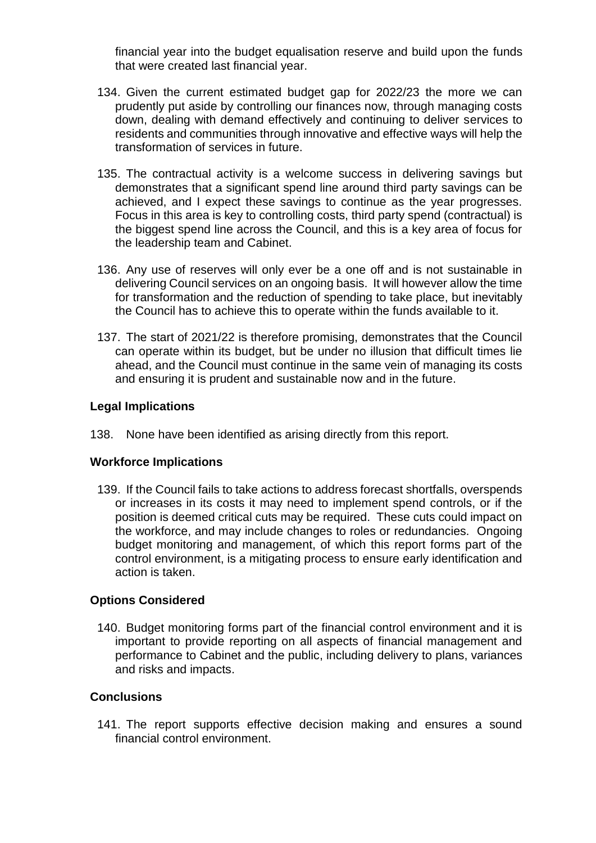financial year into the budget equalisation reserve and build upon the funds that were created last financial year.

- 134. Given the current estimated budget gap for 2022/23 the more we can prudently put aside by controlling our finances now, through managing costs down, dealing with demand effectively and continuing to deliver services to residents and communities through innovative and effective ways will help the transformation of services in future.
- 135. The contractual activity is a welcome success in delivering savings but demonstrates that a significant spend line around third party savings can be achieved, and I expect these savings to continue as the year progresses. Focus in this area is key to controlling costs, third party spend (contractual) is the biggest spend line across the Council, and this is a key area of focus for the leadership team and Cabinet.
- 136. Any use of reserves will only ever be a one off and is not sustainable in delivering Council services on an ongoing basis. It will however allow the time for transformation and the reduction of spending to take place, but inevitably the Council has to achieve this to operate within the funds available to it.
- 137. The start of 2021/22 is therefore promising, demonstrates that the Council can operate within its budget, but be under no illusion that difficult times lie ahead, and the Council must continue in the same vein of managing its costs and ensuring it is prudent and sustainable now and in the future.

#### **Legal Implications**

138. None have been identified as arising directly from this report.

## **Workforce Implications**

139. If the Council fails to take actions to address forecast shortfalls, overspends or increases in its costs it may need to implement spend controls, or if the position is deemed critical cuts may be required. These cuts could impact on the workforce, and may include changes to roles or redundancies. Ongoing budget monitoring and management, of which this report forms part of the control environment, is a mitigating process to ensure early identification and action is taken.

## **Options Considered**

140. Budget monitoring forms part of the financial control environment and it is important to provide reporting on all aspects of financial management and performance to Cabinet and the public, including delivery to plans, variances and risks and impacts.

## **Conclusions**

141. The report supports effective decision making and ensures a sound financial control environment.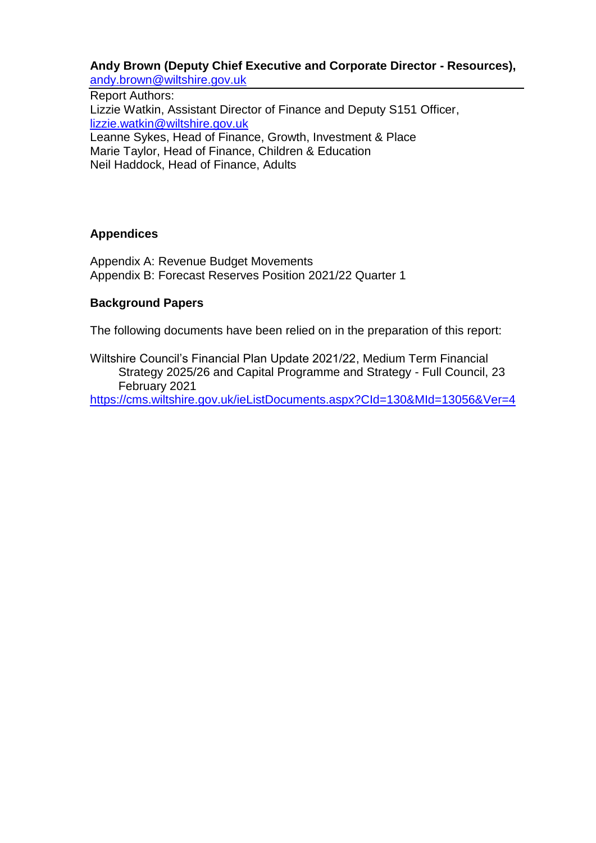## **Andy Brown (Deputy Chief Executive and Corporate Director - Resources),**  [andy.brown@wiltshire.gov.uk](mailto:andy.brown@wiltshire.gov.uk)

Report Authors:

Lizzie Watkin, Assistant Director of Finance and Deputy S151 Officer, lizzie.watkin@wiltshire.gov.uk Leanne Sykes, Head of Finance, Growth, Investment & Place Marie Taylor, Head of Finance, Children & Education Neil Haddock, Head of Finance, Adults

## **Appendices**

Appendix A: Revenue Budget Movements Appendix B: Forecast Reserves Position 2021/22 Quarter 1

## **Background Papers**

The following documents have been relied on in the preparation of this report:

Wiltshire Council's Financial Plan Update 2021/22, Medium Term Financial Strategy 2025/26 and Capital Programme and Strategy - Full Council, 23 February 2021

<https://cms.wiltshire.gov.uk/ieListDocuments.aspx?CId=130&MId=13056&Ver=4>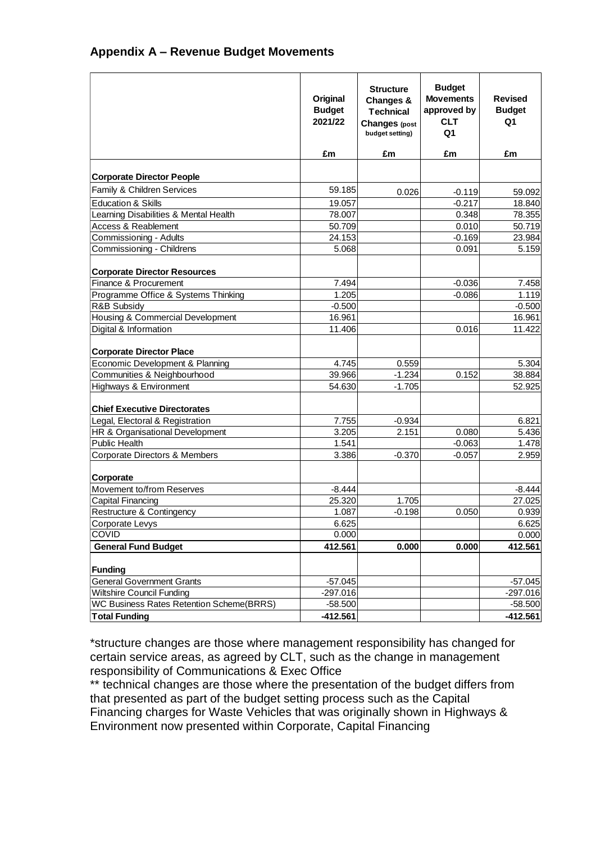## **Appendix A – Revenue Budget Movements**

|                                                                        | Original<br><b>Budget</b><br>2021/22 | <b>Structure</b><br>Changes &<br><b>Technical</b><br><b>Changes (post</b><br>budget setting) | <b>Budget</b><br><b>Movements</b><br>approved by<br><b>CLT</b><br>Q <sub>1</sub> | <b>Revised</b><br><b>Budget</b><br>Q <sub>1</sub> |
|------------------------------------------------------------------------|--------------------------------------|----------------------------------------------------------------------------------------------|----------------------------------------------------------------------------------|---------------------------------------------------|
|                                                                        | £m                                   | £m                                                                                           | £m                                                                               | £m                                                |
| <b>Corporate Director People</b>                                       |                                      |                                                                                              |                                                                                  |                                                   |
| Family & Children Services                                             | 59.185                               |                                                                                              |                                                                                  |                                                   |
| <b>Education &amp; Skills</b>                                          | 19.057                               | 0.026                                                                                        | $-0.119$<br>$-0.217$                                                             | 59.092<br>18.840                                  |
| Learning Disabilities & Mental Health                                  | 78.007                               |                                                                                              | 0.348                                                                            | 78.355                                            |
| Access & Reablement                                                    | 50.709                               |                                                                                              | 0.010                                                                            | 50.719                                            |
| Commissioning - Adults                                                 | 24.153                               |                                                                                              | $-0.169$                                                                         | 23.984                                            |
| Commissioning - Childrens                                              | 5.068                                |                                                                                              | 0.091                                                                            | 5.159                                             |
|                                                                        |                                      |                                                                                              |                                                                                  |                                                   |
| <b>Corporate Director Resources</b>                                    |                                      |                                                                                              |                                                                                  |                                                   |
| Finance & Procurement                                                  | 7.494                                |                                                                                              | $-0.036$                                                                         | 7.458                                             |
| Programme Office & Systems Thinking                                    | 1.205                                |                                                                                              | $-0.086$                                                                         | 1.119                                             |
| R&B Subsidy                                                            | $-0.500$                             |                                                                                              |                                                                                  | $-0.500$                                          |
| Housing & Commercial Development                                       | 16.961                               |                                                                                              |                                                                                  | 16.961                                            |
| Digital & Information                                                  | 11.406                               |                                                                                              | 0.016                                                                            | 11.422                                            |
|                                                                        |                                      |                                                                                              |                                                                                  |                                                   |
| <b>Corporate Director Place</b>                                        |                                      |                                                                                              |                                                                                  |                                                   |
| Economic Development & Planning                                        | 4.745                                | 0.559                                                                                        |                                                                                  | 5.304                                             |
| Communities & Neighbourhood                                            | 39.966                               | $-1.234$                                                                                     | 0.152                                                                            | 38.884                                            |
| Highways & Environment                                                 | 54.630                               | $-1.705$                                                                                     |                                                                                  | 52.925                                            |
|                                                                        |                                      |                                                                                              |                                                                                  |                                                   |
| <b>Chief Executive Directorates</b><br>Legal, Electoral & Registration | 7.755                                | $-0.934$                                                                                     |                                                                                  | 6.821                                             |
| HR & Organisational Development                                        | 3.205                                | 2.151                                                                                        | 0.080                                                                            | 5.436                                             |
| Public Health                                                          | 1.541                                |                                                                                              | $-0.063$                                                                         | 1.478                                             |
| Corporate Directors & Members                                          | 3.386                                | $-0.370$                                                                                     | $-0.057$                                                                         | 2.959                                             |
|                                                                        |                                      |                                                                                              |                                                                                  |                                                   |
| Corporate                                                              |                                      |                                                                                              |                                                                                  |                                                   |
| Movement to/from Reserves                                              | $-8.444$                             |                                                                                              |                                                                                  | $-8.444$                                          |
| Capital Financing                                                      | 25.320                               | 1.705                                                                                        |                                                                                  | 27.025                                            |
| Restructure & Contingency                                              | 1.087                                | $-0.198$                                                                                     | 0.050                                                                            | 0.939                                             |
| Corporate Levys                                                        | 6.625                                |                                                                                              |                                                                                  | 6.625                                             |
| COVID                                                                  | 0.000                                |                                                                                              |                                                                                  | 0.000                                             |
| <b>General Fund Budget</b>                                             | 412.561                              | 0.000                                                                                        | 0.000                                                                            | 412.561                                           |
| <b>Funding</b>                                                         |                                      |                                                                                              |                                                                                  |                                                   |
| <b>General Government Grants</b>                                       | $-57.045$                            |                                                                                              |                                                                                  | $-57.045$                                         |
| Wiltshire Council Funding                                              | $-297.016$                           |                                                                                              |                                                                                  | $-297.016$                                        |
| <b>WC Business Rates Retention Scheme(BRRS)</b>                        | $-58.500$                            |                                                                                              |                                                                                  | $-58.500$                                         |
| <b>Total Funding</b>                                                   | $-412.561$                           |                                                                                              |                                                                                  | $-412.561$                                        |

\*structure changes are those where management responsibility has changed for certain service areas, as agreed by CLT, such as the change in management responsibility of Communications & Exec Office

\*\* technical changes are those where the presentation of the budget differs from that presented as part of the budget setting process such as the Capital Financing charges for Waste Vehicles that was originally shown in Highways & Environment now presented within Corporate, Capital Financing